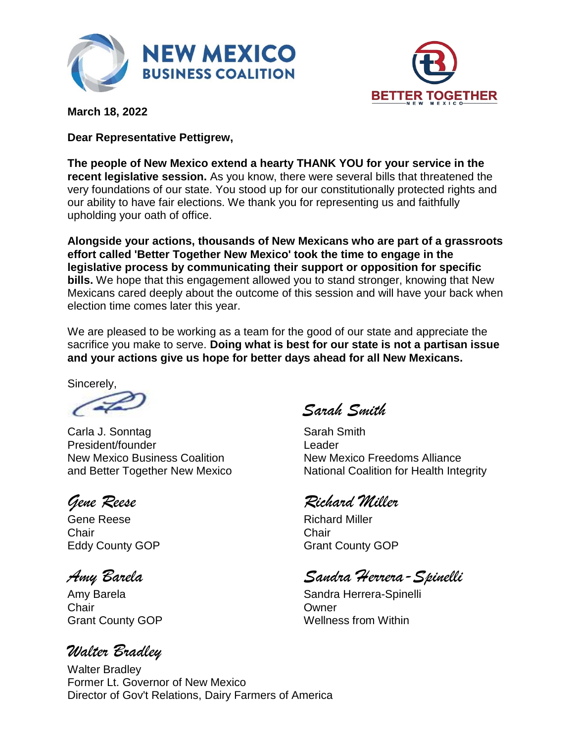



**March 18, 2022**

**Dear Representative Pettigrew,**

**The people of New Mexico extend a hearty THANK YOU for your service in the recent legislative session.** As you know, there were several bills that threatened the very foundations of our state. You stood up for our constitutionally protected rights and our ability to have fair elections. We thank you for representing us and faithfully upholding your oath of office.

**Alongside your actions, thousands of New Mexicans who are part of a grassroots effort called 'Better Together New Mexico' took the time to engage in the legislative process by communicating their support or opposition for specific bills.** We hope that this engagement allowed you to stand stronger, knowing that New Mexicans cared deeply about the outcome of this session and will have your back when election time comes later this year.

We are pleased to be working as a team for the good of our state and appreciate the sacrifice you make to serve. **Doing what is best for our state is not a partisan issue and your actions give us hope for better days ahead for all New Mexicans.**

Sincerely,

Carla J. Sonntag Sarah Smith President/founder Leader New Mexico Business Coalition New Mexico Freedoms Alliance

Gene Reese **Richard Miller** Chair Chair

Chair Owner

# *Walter Bradley*

*Sarah Smith*

and Better Together New Mexico National Coalition for Health Integrity

# *Gene Reese Richard Miller*

Eddy County GOP Grant County GOP

*Amy Barela Sandra Herrera-Spinelli*

Amy Barela **Sandra Herrera-Spinelli** Sandra Herrera-Spinelli Grant County GOP Wellness from Within

Walter Bradley Former Lt. Governor of New Mexico Director of Gov't Relations, Dairy Farmers of America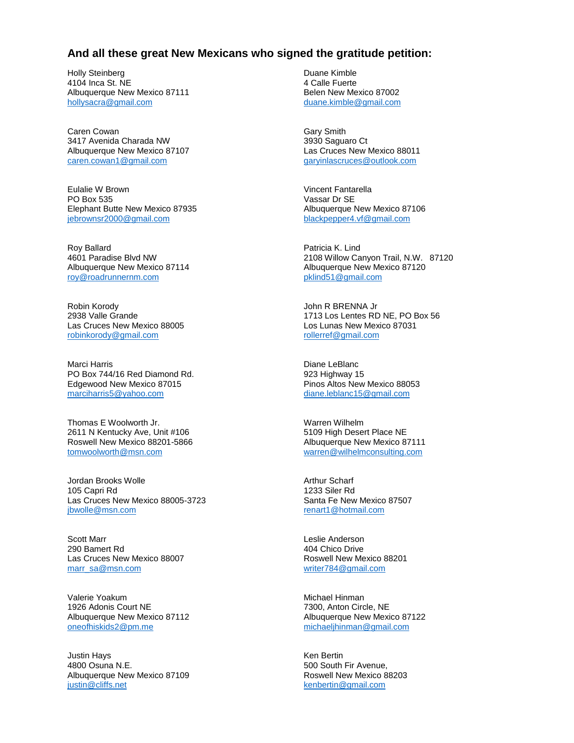### **And all these great New Mexicans who signed the gratitude petition:**

Holly Steinberg 4104 Inca St. NE Albuquerque New Mexico 87111 [hollysacra@gmail.com](mailto:hollysacra@gmail.com)

Caren Cowan 3417 Avenida Charada NW Albuquerque New Mexico 87107 [caren.cowan1@gmail.com](mailto:caren.cowan1@gmail.com)

Eulalie W Brown PO Box 535 Elephant Butte New Mexico 87935 [jebrownsr2000@gmail.com](mailto:jebrownsr2000@gmail.com)

Roy Ballard 4601 Paradise Blvd NW Albuquerque New Mexico 87114 [roy@roadrunnernm.com](mailto:roy@roadrunnernm.com)

Robin Korody 2938 Valle Grande Las Cruces New Mexico 88005 [robinkorody@gmail.com](mailto:robinkorody@gmail.com)

Marci Harris PO Box 744/16 Red Diamond Rd. Edgewood New Mexico 87015 [marciharris5@yahoo.com](mailto:marciharris5@yahoo.com)

Thomas E Woolworth Jr. 2611 N Kentucky Ave, Unit #106 Roswell New Mexico 88201-5866 [tomwoolworth@msn.com](mailto:tomwoolworth@msn.com)

Jordan Brooks Wolle 105 Capri Rd Las Cruces New Mexico 88005-3723 [jbwolle@msn.com](mailto:jbwolle@msn.com)

Scott Marr 290 Bamert Rd Las Cruces New Mexico 88007 [marr\\_sa@msn.com](mailto:marr_sa@msn.com)

Valerie Yoakum 1926 Adonis Court NE Albuquerque New Mexico 87112 [oneofhiskids2@pm.me](mailto:oneofhiskids2@pm.me)

Justin Hays 4800 Osuna N.E. Albuquerque New Mexico 87109 [justin@cliffs.net](mailto:justin@cliffs.net)

Duane Kimble 4 Calle Fuerte Belen New Mexico 87002 [duane.kimble@gmail.com](mailto:duane.kimble@gmail.com)

Gary Smith 3930 Saguaro Ct Las Cruces New Mexico 88011 [garyinlascruces@outlook.com](mailto:garyinlascruces@outlook.com)

Vincent Fantarella Vassar Dr SE Albuquerque New Mexico 87106 [blackpepper4.vf@gmail.com](mailto:blackpepper4.vf@gmail.com)

Patricia K. Lind 2108 Willow Canyon Trail, N.W. 87120 Albuquerque New Mexico 87120 [pklind51@gmail.com](mailto:pklind51@gmail.com)

John R BRENNA Jr 1713 Los Lentes RD NE, PO Box 56 Los Lunas New Mexico 87031 [rollerref@gmail.com](mailto:rollerref@gmail.com)

Diane LeBlanc 923 Highway 15 Pinos Altos New Mexico 88053 [diane.leblanc15@gmail.com](mailto:diane.leblanc15@gmail.com)

Warren Wilhelm 5109 High Desert Place NE Albuquerque New Mexico 87111 [warren@wilhelmconsulting.com](mailto:warren@wilhelmconsulting.com)

Arthur Scharf 1233 Siler Rd Santa Fe New Mexico 87507 [renart1@hotmail.com](mailto:renart1@hotmail.com)

Leslie Anderson 404 Chico Drive Roswell New Mexico 88201 [writer784@gmail.com](mailto:writer784@gmail.com)

Michael Hinman 7300, Anton Circle, NE Albuquerque New Mexico 87122 [michaeljhinman@gmail.com](mailto:michaeljhinman@gmail.com)

Ken Bertin 500 South Fir Avenue, Roswell New Mexico 88203 [kenbertin@gmail.com](mailto:kenbertin@gmail.com)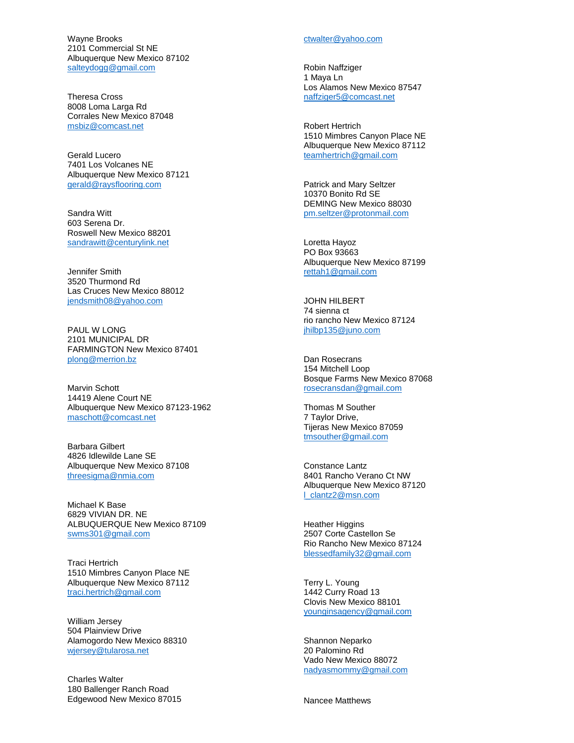Wayne Brooks 2101 Commercial St NE Albuquerque New Mexico 87102 [salteydogg@gmail.com](mailto:salteydogg@gmail.com)

Theresa Cross 8008 Loma Larga Rd Corrales New Mexico 87048 [msbiz@comcast.net](mailto:msbiz@comcast.net)

Gerald Lucero 7401 Los Volcanes NE Albuquerque New Mexico 87121 [gerald@raysflooring.com](mailto:gerald@raysflooring.com)

Sandra Witt 603 Serena Dr. Roswell New Mexico 88201 [sandrawitt@centurylink.net](mailto:sandrawitt@centurylink.net)

Jennifer Smith 3520 Thurmond Rd Las Cruces New Mexico 88012 [jendsmith08@yahoo.com](mailto:jendsmith08@yahoo.com)

PAUL W LONG 2101 MUNICIPAL DR FARMINGTON New Mexico 87401 [plong@merrion.bz](mailto:plong@merrion.bz)

Marvin Schott 14419 Alene Court NE Albuquerque New Mexico 87123 -1962 [maschott@comcast.net](mailto:maschott@comcast.net)

Barbara Gilbert 4826 Idlewilde Lane SE Albuquerque New Mexico 87108 [threesigma@nmia.com](mailto:threesigma@nmia.com)

Michael K Base 6829 VIVIAN DR. NE ALBUQUERQUE New Mexico 87109 [swms301@gmail.com](mailto:swms301@gmail.com)

Traci Hertrich 1510 Mimbres Canyon Place NE Albuquerque New Mexico 87112 [traci.hertrich@gmail.com](mailto:traci.hertrich@gmail.com)

William Jersey 504 Plainview Drive Alamogordo New Mexico 88310 [wjersey@tularosa.net](mailto:wjersey@tularosa.net)

Charles Walter 180 Ballenger Ranch Road Edgewood New Mexico 87015

#### [ctwalter@yahoo.com](mailto:ctwalter@yahoo.com)

Robin Naffziger 1 Maya Ln Los Alamos New Mexico 87547 [naffziger5@comcast.net](mailto:naffziger5@comcast.net)

Robert Hertrich 1510 Mimbres Canyon Place NE Albuquerque New Mexico 87112 [teamhertrich@gmail.com](mailto:teamhertrich@gmail.com)

Patrick and Mary Seltzer 10370 Bonito Rd SE DEMING New Mexico 88030 [pm.seltzer@protonmail.com](mailto:pm.seltzer@protonmail.com)

Loretta Hayoz PO Box 93663 Albuquerque New Mexico 87199 [rettah1@gmail.com](mailto:rettah1@gmail.com)

JOHN HILBERT 74 sienna ct rio rancho New Mexico 87124 [jhilbp135@juno.com](mailto:jhilbp135@juno.com)

Dan Rosecrans 154 Mitchell Loop Bosque Farms New Mexico 87068 [rosecransdan@gmail.com](mailto:rosecransdan@gmail.com)

Thomas M Souther 7 Taylor Drive, Tijeras New Mexico 87059 [tmsouther@gmail.com](mailto:tmsouther@gmail.com)

Constance Lantz 8401 Rancho Verano Ct NW Albuquerque New Mexico 87120 [l\\_clantz2@msn.com](mailto:l_clantz2@msn.com)

Heather Higgins 2507 Corte Castellon Se Rio Rancho New Mexico 87124 [blessedfamily32@gmail.com](mailto:blessedfamily32@gmail.com)

Terry L. Young 1442 Curry Road 13 Clovis New Mexico 88101 [younginsagency@gmail.com](mailto:younginsagency@gmail.com)

Shannon Neparko 20 Palomino Rd Vado New Mexico 88072 [nadyasmommy@gmail.com](mailto:nadyasmommy@gmail.com)

Nancee Matthews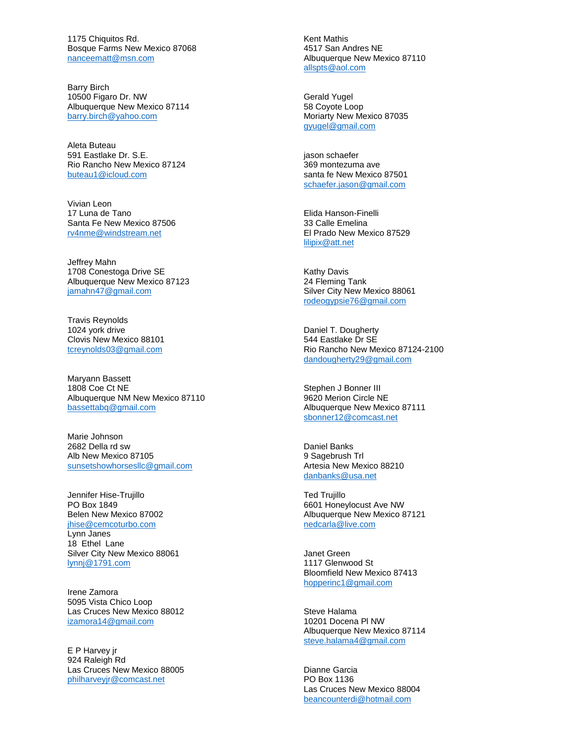1175 Chiquitos Rd. Bosque Farms New Mexico 87068 [nanceematt@msn.com](mailto:nanceematt@msn.com)

Barry Birch 10500 Figaro Dr. NW Albuquerque New Mexico 87114 [barry.birch@yahoo.com](mailto:barry.birch@yahoo.com)

Aleta Buteau 591 Eastlake Dr. S.E. Rio Rancho New Mexico 87124 [buteau1@icloud.com](mailto:buteau1@icloud.com)

Vivian Leon 17 Luna de Tano Santa Fe New Mexico 87506 [rv4nme@windstream.net](mailto:rv4nme@windstream.net)

Jeffrey Mahn 1708 Conestoga Drive SE Albuquerque New Mexico 87123 [jamahn47@gmail.com](mailto:jamahn47@gmail.com)

Travis Reynolds 1024 york drive Clovis New Mexico 88101 [tcreynolds03@gmail.com](mailto:tcreynolds03@gmail.com)

Maryann Bassett 1808 Coe Ct NE Albuquerque NM New Mexico 87110 [bassettabq@gmail.com](mailto:bassettabq@gmail.com)

Marie Johnson 2682 Della rd sw Alb New Mexico 87105 [sunsetshowhorsesllc@gmail.com](mailto:sunsetshowhorsesllc@gmail.com)

Jennifer Hise-Trujillo PO Box 1849 Belen New Mexico 87002 [jhise@cemcoturbo.com](mailto:jhise@cemcoturbo.com) Lynn Janes 18 Ethel Lane Silver City New Mexico 88061 [lynnj@1791.com](mailto:lynnj@1791.com)

Irene Zamora 5095 Vista Chico Loop Las Cruces New Mexico 88012 [izamora14@gmail.com](mailto:izamora14@gmail.com)

E P Harvey jr 924 Raleigh Rd Las Cruces New Mexico 88005 [philharveyjr@comcast.net](mailto:philharveyjr@comcast.net)

Kent Mathis 4517 San Andres NE Albuquerque New Mexico 87110 [allspts@aol.com](mailto:allspts@aol.com)

Gerald Yugel 58 Coyote Loop Moriarty New Mexico 87035 [gyugel@gmail.com](mailto:gyugel@gmail.com)

jason schaefer 369 montezuma ave santa fe New Mexico 87501 [schaefer.jason@gmail.com](mailto:schaefer.jason@gmail.com)

Elida Hanson-Finelli 33 Calle Emelina El Prado New Mexico 87529 [lilipix@att.net](mailto:lilipix@att.net)

Kathy Davis 24 Fleming Tank Silver City New Mexico 88061 [rodeogypsie76@gmail.com](mailto:rodeogypsie76@gmail.com)

Daniel T. Dougherty 544 Eastlake Dr SE Rio Rancho New Mexico 87124-2100 [dandougherty29@gmail.com](mailto:dandougherty29@gmail.com)

Stephen J Bonner III 9620 Merion Circle NE Albuquerque New Mexico 87111 [sbonner12@comcast.net](mailto:sbonner12@comcast.net)

Daniel Banks 9 Sagebrush Trl Artesia New Mexico 88210 [danbanks@usa.net](mailto:danbanks@usa.net)

Ted Trujillo 6601 Honeylocust Ave NW Albuquerque New Mexico 87121 [nedcarla@live.com](mailto:nedcarla@live.com)

Janet Green 1117 Glenwood St Bloomfield New Mexico 87413 [hopperinc1@gmail.com](mailto:hopperinc1@gmail.com)

Steve Halama 10201 Docena Pl NW Albuquerque New Mexico 87114 [steve.halama4@gmail.com](mailto:steve.halama4@gmail.com)

Dianne Garcia PO Box 1136 Las Cruces New Mexico 88004 [beancounterdi@hotmail.com](mailto:beancounterdi@hotmail.com)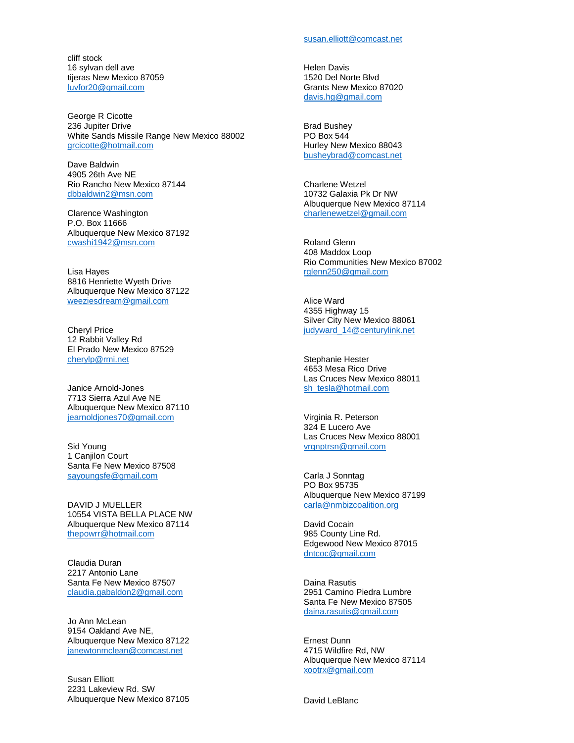cliff stock 16 sylvan dell ave tijeras New Mexico 87059 [luvfor20@gmail.com](mailto:luvfor20@gmail.com)

George R Cicotte 236 Jupiter Drive White Sands Missile Range New Mexico 88002 [grcicotte@hotmail.com](mailto:grcicotte@hotmail.com)

Dave Baldwin 4905 26th Ave NE Rio Rancho New Mexico 87144 [dbbaldwin2@msn.com](mailto:dbbaldwin2@msn.com)

Clarence Washington P.O. Box 11666 Albuquerque New Mexico 87192 [cwashi1942@msn.com](mailto:cwashi1942@msn.com)

Lisa Hayes 8816 Henriette Wyeth Drive Albuquerque New Mexico 87122 [weeziesdream@gmail.com](mailto:weeziesdream@gmail.com)

Cheryl Price 12 Rabbit Valley Rd El Prado New Mexico 87529 [cherylp@rmi.net](mailto:cherylp@rmi.net)

Janice Arnold-Jones 7713 Sierra Azul Ave NE Albuquerque New Mexico 87110 [jearnoldjones70@gmail.com](mailto:jearnoldjones70@gmail.com)

Sid Young 1 Canjilon Court Santa Fe New Mexico 87508 [sayoungsfe@gmail.com](mailto:sayoungsfe@gmail.com)

DAVID J MUELLER 10554 VISTA BELLA PLACE NW Albuquerque New Mexico 87114 [thepowrr@hotmail.com](mailto:thepowrr@hotmail.com)

Claudia Duran 2217 Antonio Lane Santa Fe New Mexico 87507 [claudia.gabaldon2@gmail.com](mailto:claudia.gabaldon2@gmail.com)

Jo Ann McLean 9154 Oakland Ave NE, Albuquerque New Mexico 87122 [janewtonmclean@comcast.net](mailto:janewtonmclean@comcast.net)

Susan Elliott 2231 Lakeview Rd. SW Albuquerque New Mexico 87105 Helen Davis 1520 Del Norte Blvd Grants New Mexico 87020 [davis.hg@gmail.com](mailto:davis.hg@gmail.com)

Brad Bushey PO Box 544 Hurley New Mexico 88043 [busheybrad@comcast.net](mailto:busheybrad@comcast.net)

Charlene Wetzel 10732 Galaxia Pk Dr NW Albuquerque New Mexico 87114 [charlenewetzel@gmail.com](mailto:charlenewetzel@gmail.com)

Roland Glenn 408 Maddox Loop Rio Communities New Mexico 87002 [rglenn250@gmail.com](mailto:rglenn250@gmail.com)

Alice Ward 4355 Highway 15 Silver City New Mexico 88061 [judyward\\_14@centurylink.net](mailto:judyward_14@centurylink.net)

Stephanie Hester 4653 Mesa Rico Drive Las Cruces New Mexico 88011 [sh\\_tesla@hotmail.com](mailto:sh_tesla@hotmail.com)

Virginia R. Peterson 324 E Lucero Ave Las Cruces New Mexico 88001 [vrgnptrsn@gmail.com](mailto:vrgnptrsn@gmail.com)

Carla J Sonntag PO Box 95735 Albuquerque New Mexico 87199 [carla@nmbizcoalition.org](mailto:carla@nmbizcoalition.org)

David Cocain 985 County Line Rd. Edgewood New Mexico 87015 [dntcoc@gmail.com](mailto:dntcoc@gmail.com)

Daina Rasutis 2951 Camino Piedra Lumbre Santa Fe New Mexico 87505 [daina.rasutis@gmail.com](mailto:daina.rasutis@gmail.com)

Ernest Dunn 4715 Wildfire Rd, NW Albuquerque New Mexico 87114 [xootrx@gmail.com](mailto:xootrx@gmail.com)

David LeBlanc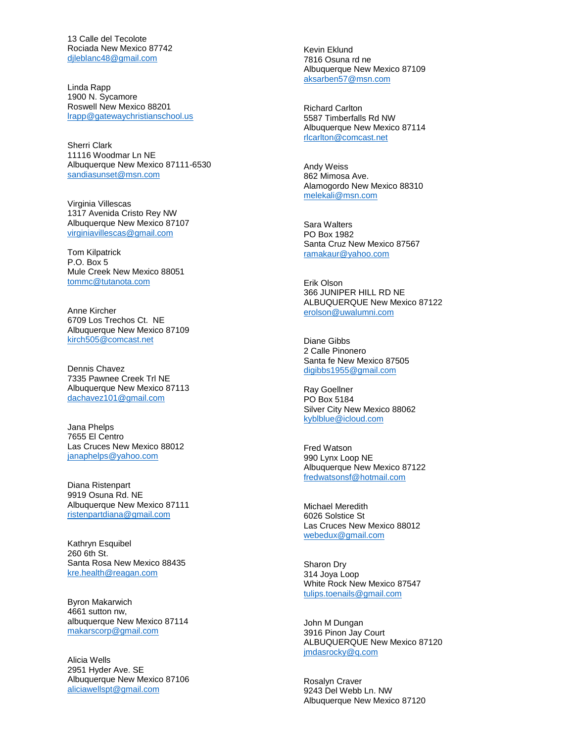13 Calle del Tecolote Rociada New Mexico 87742 [djleblanc48@gmail.com](mailto:djleblanc48@gmail.com)

Linda Rapp 1900 N. Sycamore Roswell New Mexico 88201 [lrapp@gatewaychristianschool.us](mailto:lrapp@gatewaychristianschool.us)

Sherri Clark 11116 Woodmar Ln NE Albuquerque New Mexico 87111 -6530 [sandiasunset@msn.com](mailto:sandiasunset@msn.com)

Virginia Villescas 1317 Avenida Cristo Rey NW Albuquerque New Mexico 87107 [virginiavillescas@gmail.com](mailto:virginiavillescas@gmail.com)

Tom Kilpatrick P.O. Box 5 Mule Creek New Mexico 88051 [tommc@tutanota.com](mailto:tommc@tutanota.com)

Anne Kircher 6709 Los Trechos Ct. NE Albuquerque New Mexico 87109 [kirch505@comcast.net](mailto:kirch505@comcast.net)

Dennis Chavez 7335 Pawnee Creek Trl NE Albuquerque New Mexico 87113 [dachavez101@gmail.com](mailto:dachavez101@gmail.com)

Jana Phelps 7655 El Centro Las Cruces New Mexico 88012 [janaphelps@yahoo.com](mailto:janaphelps@yahoo.com)

Diana Ristenpart 9919 Osuna Rd. NE Albuquerque New Mexico 87111 [ristenpartdiana@gmail.com](mailto:ristenpartdiana@gmail.com)

Kathryn Esquibel 260 6th St. Santa Rosa New Mexico 88435 [kre.health@reagan.com](mailto:kre.health@reagan.com)

Byron Makarwich 4661 sutton nw, albuquerque New Mexico 87114 [makarscorp@gmail.com](mailto:makarscorp@gmail.com)

Alicia Wells 2951 Hyder Ave. SE Albuquerque New Mexico 87106 [aliciawellspt@gmail.com](mailto:aliciawellspt@gmail.com)

Kevin Eklund 7816 Osuna rd ne Albuquerque New Mexico 87109 [aksarben57@msn.com](mailto:aksarben57@msn.com)

Richard Carlton 5587 Timberfalls Rd NW Albuquerque New Mexico 87114 [rlcarlton@comcast.net](mailto:rlcarlton@comcast.net)

Andy Weiss 862 Mimosa Ave. Alamogordo New Mexico 88310 [melekali@msn.com](mailto:melekali@msn.com)

Sara Walters PO Box 1982 Santa Cruz New Mexico 87567 [ramakaur@yahoo.com](mailto:ramakaur@yahoo.com)

Erik Olson 366 JUNIPER HILL RD NE ALBUQUERQUE New Mexico 87122 [erolson@uwalumni.com](mailto:erolson@uwalumni.com)

Diane Gibbs 2 Calle Pinonero Santa fe New Mexico 87505 [digibbs1955@gmail.com](mailto:digibbs1955@gmail.com)

Ray Goellner PO Box 5184 Silver City New Mexico 88062 [kyblblue@icloud.com](mailto:kyblblue@icloud.com)

Fred Watson 990 Lynx Loop NE Albuquerque New Mexico 87122 [fredwatsonsf@hotmail.com](mailto:fredwatsonsf@hotmail.com)

Michael Meredith 6026 Solstice St Las Cruces New Mexico 88012 [webedux@gmail.com](mailto:webedux@gmail.com)

Sharon Dry 314 Joya Loop White Rock New Mexico 87547 [tulips.toenails@gmail.com](mailto:tulips.toenails@gmail.com)

John M Dungan 3916 Pinon Jay Court ALBUQUERQUE New Mexico 87120 [jmdasrocky@q.com](mailto:jmdasrocky@q.com)

Rosalyn Craver 9243 Del Webb Ln. NW Albuquerque New Mexico 87120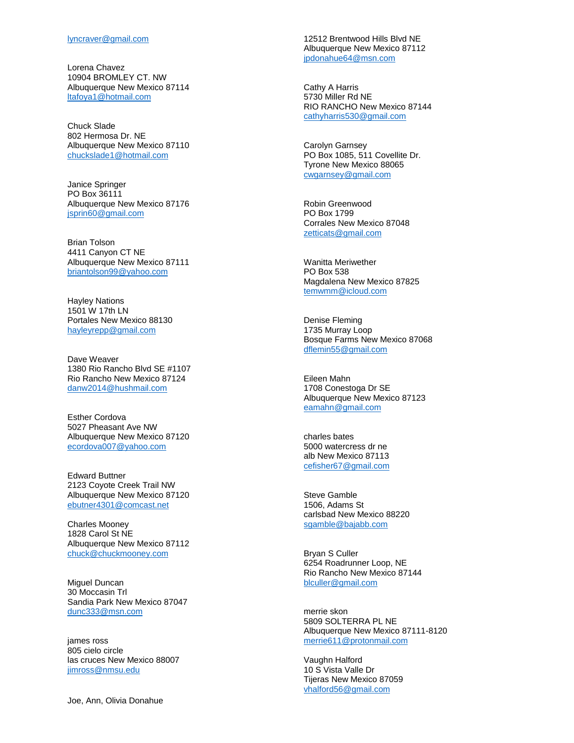Lorena Chavez 10904 BROMLEY CT. NW Albuquerque New Mexico 87114 [ltafoya1@hotmail.com](mailto:ltafoya1@hotmail.com)

Chuck Slade 802 Hermosa Dr. NE Albuquerque New Mexico 87110 [chuckslade1@hotmail.com](mailto:chuckslade1@hotmail.com)

Janice Springer PO Box 36111 Albuquerque New Mexico 87176 [jsprin60@gmail.com](mailto:jsprin60@gmail.com)

Brian Tolson 4411 Canyon CT NE Albuquerque New Mexico 87111 [briantolson99@yahoo.com](mailto:briantolson99@yahoo.com)

Hayley Nations 1501 W 17th LN Portales New Mexico 88130 [hayleyrepp@gmail.com](mailto:hayleyrepp@gmail.com)

Dave Weaver 1380 Rio Rancho Blvd SE #1107 Rio Rancho New Mexico 87124 [danw2014@hushmail.com](mailto:danw2014@hushmail.com)

Esther Cordova 5027 Pheasant Ave NW Albuquerque New Mexico 87120 [ecordova007@yahoo.com](mailto:ecordova007@yahoo.com)

Edward Buttner 2123 Coyote Creek Trail NW Albuquerque New Mexico 87120 [ebutner4301@comcast.net](mailto:ebutner4301@comcast.net)

Charles Mooney 1828 Carol St NE Albuquerque New Mexico 87112 [chuck@chuckmooney.com](mailto:chuck@chuckmooney.com)

Miguel Duncan 30 Moccasin Trl Sandia Park New Mexico 87047 [dunc333@msn.com](mailto:dunc333@msn.com)

james ross 805 cielo circle las cruces New Mexico 88007 [jimross@nmsu.edu](mailto:jimross@nmsu.edu)

Joe, Ann, Olivia Donahue

12512 Brentwood Hills Blvd NE Albuquerque New Mexico 87112 [jpdonahue64@msn.com](mailto:jpdonahue64@msn.com)

Cathy A Harris 5730 Miller Rd NE RIO RANCHO New Mexico 87144 [cathyharris530@gmail.com](mailto:cathyharris530@gmail.com)

Carolyn Garnsey PO Box 1085, 511 Covellite Dr. Tyrone New Mexico 88065 [cwgarnsey@gmail.com](mailto:cwgarnsey@gmail.com)

Robin Greenwood PO Box 1799 Corrales New Mexico 87048 [zetticats@gmail.com](mailto:zetticats@gmail.com)

Wanitta Meriwether PO Box 538 Magdalena New Mexico 87825 [temwmm@icloud.com](mailto:temwmm@icloud.com)

Denise Fleming 1735 Murray Loop Bosque Farms New Mexico 87068 [dflemin55@gmail.com](mailto:dflemin55@gmail.com)

Eileen Mahn 1708 Conestoga Dr SE Albuquerque New Mexico 87123 [eamahn@gmail.com](mailto:eamahn@gmail.com)

charles bates 5000 watercress dr ne alb New Mexico 87113 [cefisher67@gmail.com](mailto:cefisher67@gmail.com)

Steve Gamble 1506, Adams St carlsbad New Mexico 88220 [sgamble@bajabb.com](mailto:sgamble@bajabb.com)

Bryan S Culler 6254 Roadrunner Loop, NE Rio Rancho New Mexico 87144 [blculler@gmail.com](mailto:blculler@gmail.com)

merrie skon 5809 SOLTERRA PL NE Albuquerque New Mexico 87111 -8120 [merrie611@protonmail.com](mailto:merrie611@protonmail.com)

Vaughn Halford 10 S Vista Valle Dr Tijeras New Mexico 87059 [vhalford56@gmail.com](mailto:vhalford56@gmail.com)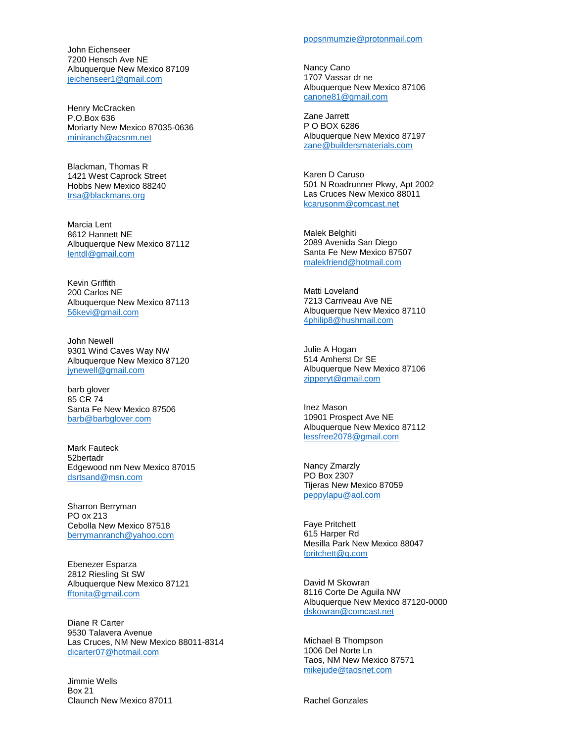John Eichenseer 7200 Hensch Ave NE Albuquerque New Mexico 87109 [jeichenseer1@gmail.com](mailto:jeichenseer1@gmail.com)

Henry McCracken P.O.Box 636 Moriarty New Mexico 87035-0636 [miniranch@acsnm.net](mailto:miniranch@acsnm.net)

Blackman, Thomas R 1421 West Caprock Street Hobbs New Mexico 88240 [trsa@blackmans.org](mailto:trsa@blackmans.org)

Marcia Lent 8612 Hannett NE Albuquerque New Mexico 87112 [lentdl@gmail.com](mailto:lentdl@gmail.com)

Kevin Griffith 200 Carlos NE Albuquerque New Mexico 87113 [56kevi@gmail.com](mailto:56kevi@gmail.com)

John Newell 9301 Wind Caves Way NW Albuquerque New Mexico 87120 [jynewell@gmail.com](mailto:jynewell@gmail.com)

barb glover 85 CR 74 Santa Fe New Mexico 87506 [barb@barbglover.com](mailto:barb@barbglover.com)

Mark Fauteck 52bertadr Edgewood nm New Mexico 87015 [dsrtsand@msn.com](mailto:dsrtsand@msn.com)

Sharron Berryman PO ox 213 Cebolla New Mexico 87518 [berrymanranch@yahoo.com](mailto:berrymanranch@yahoo.com)

Ebenezer Esparza 2812 Riesling St SW Albuquerque New Mexico 87121 [fftonita@gmail.com](mailto:fftonita@gmail.com)

Diane R Carter 9530 Talavera Avenue Las Cruces, NM New Mexico 88011-8314 [dicarter07@hotmail.com](mailto:dicarter07@hotmail.com)

Jimmie Wells Box 21 Claunch New Mexico 87011

#### [popsnmumzie@protonmail.com](mailto:popsnmumzie@protonmail.com)

Nancy Cano 1707 Vassar dr ne Albuquerque New Mexico 87106 [canone81@gmail.com](mailto:canone81@gmail.com)

Zane Jarrett P O BOX 6286 Albuquerque New Mexico 87197 [zane@buildersmaterials.com](mailto:zane@buildersmaterials.com)

Karen D Caruso 501 N Roadrunner Pkwy, Apt 2002 Las Cruces New Mexico 88011 [kcarusonm@comcast.net](mailto:kcarusonm@comcast.net)

Malek Belghiti 2089 Avenida San Diego Santa Fe New Mexico 87507 [malekfriend@hotmail.com](mailto:malekfriend@hotmail.com)

Matti Loveland 7213 Carriveau Ave NE Albuquerque New Mexico 87110 [4philip8@hushmail.com](mailto:4philip8@hushmail.com)

Julie A Hogan 514 Amherst Dr SE Albuquerque New Mexico 87106 [zipperyt@gmail.com](mailto:zipperyt@gmail.com)

Inez Mason 10901 Prospect Ave NE Albuquerque New Mexico 87112 [lessfree2078@gmail.com](mailto:lessfree2078@gmail.com)

Nancy Zmarzly PO Box 2307 Tijeras New Mexico 87059 [peppylapu@aol.com](mailto:peppylapu@aol.com)

Faye Pritchett 615 Harper Rd Mesilla Park New Mexico 88047 [fpritchett@q.com](mailto:fpritchett@q.com)

David M Skowran 8116 Corte De Aguila NW Albuquerque New Mexico 87120-0000 [dskowran@comcast.net](mailto:dskowran@comcast.net)

Michael B Thompson 1006 Del Norte Ln Taos, NM New Mexico 87571 [mikejude@taosnet.com](mailto:mikejude@taosnet.com)

Rachel Gonzales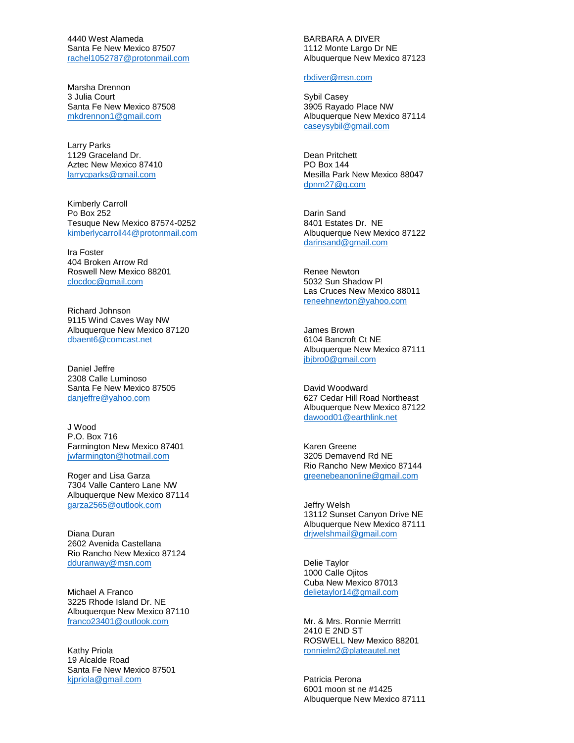4440 West Alameda Santa Fe New Mexico 87507 [rachel1052787@protonmail.com](mailto:rachel1052787@protonmail.com)

Marsha Drennon 3 Julia Court Santa Fe New Mexico 87508 [mkdrennon1@gmail.com](mailto:mkdrennon1@gmail.com)

Larry Parks 1129 Graceland Dr. Aztec New Mexico 87410 [larrycparks@gmail.com](mailto:larrycparks@gmail.com)

Kimberly Carroll Po Box 252 Tesuque New Mexico 87574 -0252 [kimberlycarroll44@protonmail.com](mailto:kimberlycarroll44@protonmail.com)

Ira Foster 404 Broken Arrow Rd Roswell New Mexico 88201 [clocdoc@gmail.com](mailto:clocdoc@gmail.com)

Richard Johnson 9115 Wind Caves Way NW Albuquerque New Mexico 87120 [dbaent6@comcast.net](mailto:dbaent6@comcast.net)

Daniel Jeffre 2308 Calle Luminoso Santa Fe New Mexico 87505 [danjeffre@yahoo.com](mailto:danjeffre@yahoo.com)

J Wood P.O. Box 716 Farmington New Mexico 87401 [jwfarmington@hotmail.com](mailto:jwfarmington@hotmail.com)

Roger and Lisa Garza 7304 Valle Cantero Lane NW Albuquerque New Mexico 87114 [garza2565@outlook.com](mailto:garza2565@outlook.com)

Diana Duran 2602 Avenida Castellana Rio Rancho New Mexico 87124 [dduranway@msn.com](mailto:dduranway@msn.com)

Michael A Franco 3225 Rhode Island Dr. NE Albuquerque New Mexico 87110 [franco23401@outlook.com](mailto:franco23401@outlook.com)

Kathy Priola 19 Alcalde Road Santa Fe New Mexico 87501 [kjpriola@gmail.com](mailto:kjpriola@gmail.com)

BARBARA A DIVER 1112 Monte Largo Dr NE Albuquerque New Mexico 87123

### [rbdiver@msn.com](mailto:rbdiver@msn.com)

Sybil Casey 3905 Rayado Place NW Albuquerque New Mexico 87114 [caseysybil@gmail.com](mailto:caseysybil@gmail.com)

Dean Pritchett PO Box 144 Mesilla Park New Mexico 88047 [dpnm27@q.com](mailto:dpnm27@q.com)

Darin Sand 8401 Estates Dr. NE Albuquerque New Mexico 87122 [darinsand@gmail.com](mailto:darinsand@gmail.com)

Renee Newton 5032 Sun Shadow Pl Las Cruces New Mexico 88011 [reneehnewton@yahoo.com](mailto:reneehnewton@yahoo.com)

James Brown 6104 Bancroft Ct NE Albuquerque New Mexico 87111 [jbjbro0@gmail.com](mailto:jbjbro0@gmail.com)

David Woodward 627 Cedar Hill Road Northeast Albuquerque New Mexico 87122 [dawood01@earthlink.net](mailto:dawood01@earthlink.net)

Karen Greene 3205 Demavend Rd NE Rio Rancho New Mexico 87144 [greenebeanonline@gmail.com](mailto:greenebeanonline@gmail.com)

Jeffry Welsh 13112 Sunset Canyon Drive NE Albuquerque New Mexico 87111 [drjwelshmail@gmail.com](mailto:drjwelshmail@gmail.com)

Delie Taylor 1000 Calle Ojitos Cuba New Mexico 87013 [delietaylor14@gmail.com](mailto:delietaylor14@gmail.com)

Mr. & Mrs. Ronnie Merrritt 2410 E 2ND ST ROSWELL New Mexico 88201 [ronnielm2@plateautel.net](mailto:ronnielm2@plateautel.net)

Patricia Perona 6001 moon st ne #1425 Albuquerque New Mexico 87111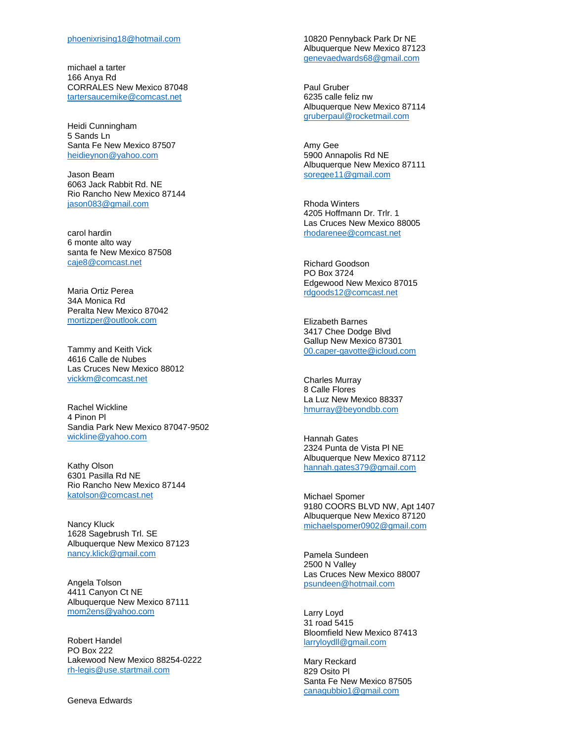michael a tarter 166 Anya Rd CORRALES New Mexico 87048 [tartersaucemike@comcast.net](mailto:tartersaucemike@comcast.net)

Heidi Cunningham 5 Sands Ln Santa Fe New Mexico 87507 [heidieynon@yahoo.com](mailto:heidieynon@yahoo.com)

Jason Beam 6063 Jack Rabbit Rd. NE Rio Rancho New Mexico 87144 [jason083@gmail.com](mailto:jason083@gmail.com)

carol hardin 6 monte alto way santa fe New Mexico 87508 [caje8@comcast.net](mailto:caje8@comcast.net)

Maria Ortiz Perea 34A Monica Rd Peralta New Mexico 87042 [mortizper@outlook.com](mailto:mortizper@outlook.com)

Tammy and Keith Vick 4616 Calle de Nubes Las Cruces New Mexico 88012 [vickkm@comcast.net](mailto:vickkm@comcast.net)

Rachel Wickline 4 Pinon Pl Sandia Park New Mexico 87047 -9502 [wickline@yahoo.com](mailto:wickline@yahoo.com)

Kathy Olson 6301 Pasilla Rd NE Rio Rancho New Mexico 87144 [katolson@comcast.net](mailto:katolson@comcast.net)

Nancy Kluck 1628 Sagebrush Trl. SE Albuquerque New Mexico 87123 [nancy.klick@gmail.com](mailto:nancy.klick@gmail.com)

Angela Tolson 4411 Canyon Ct NE Albuquerque New Mexico 87111 [mom2ens@yahoo.com](mailto:mom2ens@yahoo.com)

Robert Handel PO Box 222 Lakewood New Mexico 88254 -0222 rh [-legis@use.startmail.com](mailto:rh-legis@use.startmail.com)

Geneva Edwards

10820 Pennyback Park Dr NE Albuquerque New Mexico 87123 [genevaedwards68@gmail.com](mailto:genevaedwards68@gmail.com)

Paul Gruber 6235 calle feliz nw Albuquerque New Mexico 87114 [gruberpaul@rocketmail.com](mailto:gruberpaul@rocketmail.com)

Amy Gee 5900 Annapolis Rd NE Albuquerque New Mexico 87111 [soregee11@gmail.com](mailto:soregee11@gmail.com)

Rhoda Winters 4205 Hoffmann Dr. Trlr. 1 Las Cruces New Mexico 88005 [rhodarenee@comcast.net](mailto:rhodarenee@comcast.net)

Richard Goodson PO Box 3724 Edgewood New Mexico 87015 [rdgoods12@comcast.net](mailto:rdgoods12@comcast.net)

Elizabeth Barnes 3417 Chee Dodge Blvd Gallup New Mexico 87301 00.caper [-gavotte@icloud.com](mailto:00.caper-gavotte@icloud.com)

Charles Murray 8 Calle Flores La Luz New Mexico 88337 [hmurray@beyondbb.com](mailto:hmurray@beyondbb.com)

Hannah Gates 2324 Punta de Vista Pl NE Albuquerque New Mexico 87112 [hannah.gates379@gmail.com](mailto:hannah.gates379@gmail.com)

Michael Spomer 9180 COORS BLVD NW, Apt 1407 Albuquerque New Mexico 87120 [michaelspomer0902@gmail.com](mailto:michaelspomer0902@gmail.com)

Pamela Sundeen 2500 N Valley Las Cruces New Mexico 88007 [psundeen@hotmail.com](mailto:psundeen@hotmail.com)

Larry Loyd 31 road 5415 Bloomfield New Mexico 87413 [larryloydll@gmail.com](mailto:larryloydll@gmail.com)

Mary Reckard 829 Osito Pl Santa Fe New Mexico 87505 [canagubbio1@gmail.com](mailto:canagubbio1@gmail.com)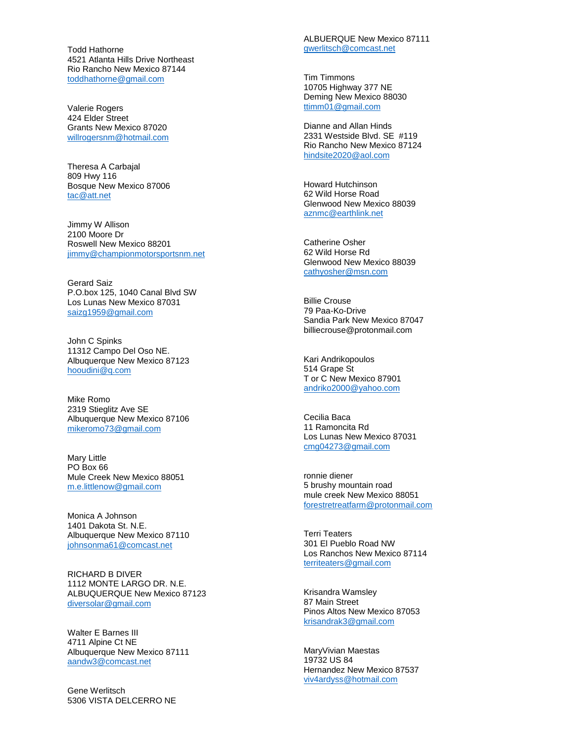Todd Hathorne 4521 Atlanta Hills Drive Northeast Rio Rancho New Mexico 87144 [toddhathorne@gmail.com](mailto:toddhathorne@gmail.com)

Valerie Rogers 424 Elder Street Grants New Mexico 87020 [willrogersnm@hotmail.com](mailto:willrogersnm@hotmail.com)

Theresa A Carbajal 809 Hwy 116 Bosque New Mexico 87006 [tac@att.net](mailto:tac@att.net)

Jimmy W Allison 2100 Moore Dr Roswell New Mexico 88201 [jimmy@championmotorsportsnm.net](mailto:jimmy@championmotorsportsnm.net)

Gerard Saiz P.O.box 125, 1040 Canal Blvd SW Los Lunas New Mexico 87031 [saizg1959@gmail.com](mailto:saizg1959@gmail.com)

John C Spinks 11312 Campo Del Oso NE. Albuquerque New Mexico 87123 [hooudini@q.com](mailto:hooudini@q.com)

Mike Romo 2319 Stieglitz Ave SE Albuquerque New Mexico 87106 [mikeromo73@gmail.com](mailto:mikeromo73@gmail.com)

Mary Little PO Box 66 Mule Creek New Mexico 88051 [m.e.littlenow@gmail.com](mailto:m.e.littlenow@gmail.com)

Monica A Johnson 1401 Dakota St. N.E. Albuquerque New Mexico 87110 [johnsonma61@comcast.net](mailto:johnsonma61@comcast.net)

RICHARD B DIVER 1112 MONTE LARGO DR. N.E. ALBUQUERQUE New Mexico 87123 [diversolar@gmail.com](mailto:diversolar@gmail.com)

Walter E Barnes III 4711 Alpine Ct NE Albuquerque New Mexico 87111 [aandw3@comcast.net](mailto:aandw3@comcast.net)

Gene Werlitsch 5306 VISTA DELCERRO NE ALBUERQUE New Mexico 87111 [gwerlitsch@comcast.net](mailto:gwerlitsch@comcast.net)

Tim Timmons 10705 Highway 377 NE Deming New Mexico 88030 [ttimm01@gmail.com](mailto:ttimm01@gmail.com)

Dianne and Allan Hinds 2331 Westside Blvd. SE #119 Rio Rancho New Mexico 87124 [hindsite2020@aol.com](mailto:hindsite2020@aol.com)

Howard Hutchinson 62 Wild Horse Road Glenwood New Mexico 88039 [aznmc@earthlink.net](mailto:aznmc@earthlink.net)

Catherine Osher 62 Wild Horse Rd Glenwood New Mexico 88039 [cathyosher@msn.com](mailto:cathyosher@msn.com)

Billie Crouse 79 Paa -Ko -Drive Sandia Park New Mexico 87047 billiecrouse@protonmail.com

Kari Andrikopoulos 514 Grape St T or C New Mexico 87901 [andriko2000@yahoo.com](mailto:andriko2000@yahoo.com)

Cecilia Baca 11 Ramoncita Rd Los Lunas New Mexico 87031 [cmg04273@gmail.com](mailto:cmg04273@gmail.com)

ronnie diener 5 brushy mountain road mule creek New Mexico 88051 [forestretreatfarm@protonmail.com](mailto:forestretreatfarm@protonmail.com)

Terri Teaters 301 El Pueblo Road NW Los Ranchos New Mexico 87114 [territeaters@gmail.com](mailto:territeaters@gmail.com)

Krisandra Wamsley 87 Main Street Pinos Altos New Mexico 87053 [krisandrak3@gmail.com](mailto:krisandrak3@gmail.com)

MaryVivian Maestas 19732 US 84 Hernandez New Mexico 87537 [viv4ardyss@hotmail.com](mailto:viv4ardyss@hotmail.com)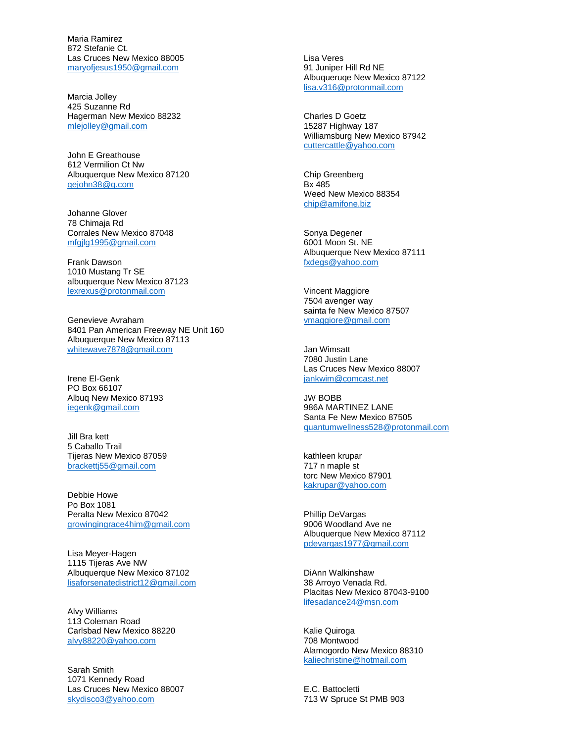Maria Ramirez 872 Stefanie Ct. Las Cruces New Mexico 88005 [maryofjesus1950@gmail.com](mailto:maryofjesus1950@gmail.com)

Marcia Jolley 425 Suzanne Rd Hagerman New Mexico 88232 [mlejolley@gmail.com](mailto:mlejolley@gmail.com)

John E Greathouse 612 Vermilion Ct Nw Albuquerque New Mexico 87120 [gejohn38@q.com](mailto:gejohn38@q.com)

Johanne Glover 78 Chimaja Rd Corrales New Mexico 87048 [mfgjlg1995@gmail.com](mailto:mfgjlg1995@gmail.com)

Frank Dawson 1010 Mustang Tr SE albuquerque New Mexico 87123 [lexrexus@protonmail.com](mailto:lexrexus@protonmail.com)

Genevieve Avraham 8401 Pan American Freeway NE Unit 160 Albuquerque New Mexico 87113 [whitewave7878@gmail.com](mailto:whitewave7878@gmail.com)

Irene El-Genk PO Box 66107 Albuq New Mexico 87193 [iegenk@gmail.com](mailto:iegenk@gmail.com)

Jill Bra kett 5 Caballo Trail Tijeras New Mexico 87059 [brackettj55@gmail.com](mailto:brackettj55@gmail.com)

Debbie Howe Po Box 1081 Peralta New Mexico 87042 [growingingrace4him@gmail.com](mailto:growingingrace4him@gmail.com)

Lisa Meyer-Hagen 1115 Tijeras Ave NW Albuquerque New Mexico 87102 [lisaforsenatedistrict12@gmail.com](mailto:lisaforsenatedistrict12@gmail.com)

Alvy Williams 113 Coleman Road Carlsbad New Mexico 88220 [alvy88220@yahoo.com](mailto:alvy88220@yahoo.com)

Sarah Smith 1071 Kennedy Road Las Cruces New Mexico 88007 [skydisco3@yahoo.com](mailto:skydisco3@yahoo.com)

Lisa Veres 91 Juniper Hill Rd NE Albuqueruqe New Mexico 87122 [lisa.v316@protonmail.com](mailto:lisa.v316@protonmail.com)

Charles D Goetz 15287 Highway 187 Williamsburg New Mexico 87942 [cuttercattle@yahoo.com](mailto:cuttercattle@yahoo.com)

Chip Greenberg Bx 485 Weed New Mexico 88354 [chip@amifone.biz](mailto:chip@amifone.biz)

Sonya Degener 6001 Moon St. NE Albuquerque New Mexico 87111 [fxdegs@yahoo.com](mailto:fxdegs@yahoo.com)

Vincent Maggiore 7504 avenger way sainta fe New Mexico 87507 [vmaggiore@gmail.com](mailto:vmaggiore@gmail.com)

Jan Wimsatt 7080 Justin Lane Las Cruces New Mexico 88007 [jankwim@comcast.net](mailto:jankwim@comcast.net)

JW BOBB 986A MARTINEZ LANE Santa Fe New Mexico 87505 [quantumwellness528@protonmail.com](mailto:quantumwellness528@protonmail.com)

kathleen krupar 717 n maple st torc New Mexico 87901 [kakrupar@yahoo.com](mailto:kakrupar@yahoo.com)

Phillip DeVargas 9006 Woodland Ave ne Albuquerque New Mexico 87112 [pdevargas1977@gmail.com](mailto:pdevargas1977@gmail.com)

DiAnn Walkinshaw 38 Arroyo Venada Rd. Placitas New Mexico 87043-9100 [lifesadance24@msn.com](mailto:lifesadance24@msn.com)

Kalie Quiroga 708 Montwood Alamogordo New Mexico 88310 [kaliechristine@hotmail.com](mailto:kaliechristine@hotmail.com)

E.C. Battocletti 713 W Spruce St PMB 903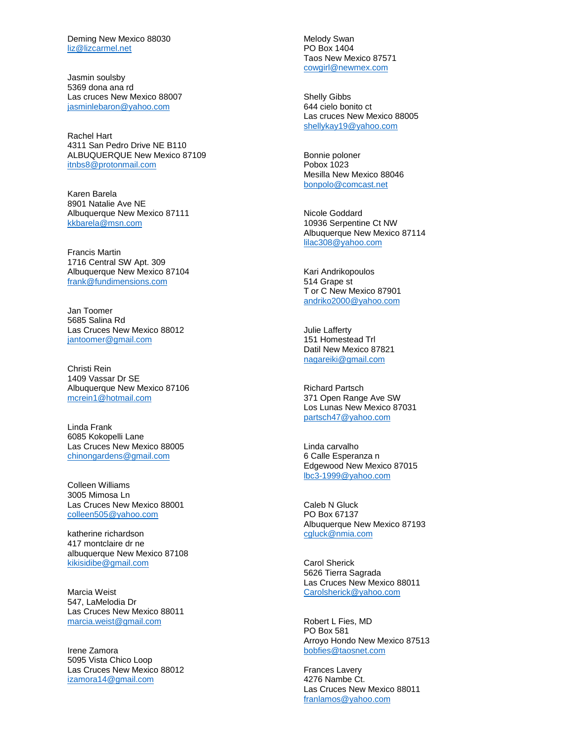Deming New Mexico 88030 [liz@lizcarmel.net](mailto:liz@lizcarmel.net)

Jasmin soulsby 5369 dona ana rd Las cruces New Mexico 88007 [jasminlebaron@yahoo.com](mailto:jasminlebaron@yahoo.com)

Rachel Hart 4311 San Pedro Drive NE B110 ALBUQUERQUE New Mexico 87109 [itnbs8@protonmail.com](mailto:itnbs8@protonmail.com)

Karen Barela 8901 Natalie Ave NE Albuquerque New Mexico 87111 [kkbarela@msn.com](mailto:kkbarela@msn.com)

Francis Martin 1716 Central SW Apt. 309 Albuquerque New Mexico 87104 [frank@fundimensions.com](mailto:frank@fundimensions.com)

Jan Toomer 5685 Salina Rd Las Cruces New Mexico 88012 [jantoomer@gmail.com](mailto:jantoomer@gmail.com)

Christi Rein 1409 Vassar Dr SE Albuquerque New Mexico 87106 [mcrein1@hotmail.com](mailto:mcrein1@hotmail.com)

Linda Frank 6085 Kokopelli Lane Las Cruces New Mexico 88005 [chinongardens@gmail.com](mailto:chinongardens@gmail.com)

Colleen Williams 3005 Mimosa Ln Las Cruces New Mexico 88001 [colleen505@yahoo.com](mailto:colleen505@yahoo.com)

katherine richardson 417 montclaire dr ne albuquerque New Mexico 87108 [kikisidibe@gmail.com](mailto:kikisidibe@gmail.com)

Marcia Weist 547, LaMelodia Dr Las Cruces New Mexico 88011 [marcia.weist@gmail.com](mailto:marcia.weist@gmail.com)

Irene Zamora 5095 Vista Chico Loop Las Cruces New Mexico 88012 [izamora14@gmail.com](mailto:izamora14@gmail.com)

Melody Swan PO Box 1404 Taos New Mexico 87571 [cowgirl@newmex.com](mailto:cowgirl@newmex.com)

Shelly Gibbs 644 cielo bonito ct Las cruces New Mexico 88005 [shellykay19@yahoo.com](mailto:shellykay19@yahoo.com)

Bonnie poloner Pobox 1023 Mesilla New Mexico 88046 [bonpolo@comcast.net](mailto:bonpolo@comcast.net)

Nicole Goddard 10936 Serpentine Ct NW Albuquerque New Mexico 87114 [lilac308@yahoo.com](mailto:lilac308@yahoo.com)

Kari Andrikopoulos 514 Grape st T or C New Mexico 87901 [andriko2000@yahoo.com](mailto:andriko2000@yahoo.com)

Julie Lafferty 151 Homestead Trl Datil New Mexico 87821 [nagareiki@gmail.com](mailto:nagareiki@gmail.com)

Richard Partsch 371 Open Range Ave SW Los Lunas New Mexico 87031 [partsch47@yahoo.com](mailto:partsch47@yahoo.com)

Linda carvalho 6 Calle Esperanza n Edgewood New Mexico 87015 lbc3 [-1999@yahoo.com](mailto:lbc3-1999@yahoo.com)

Caleb N Gluck PO Box 67137 Albuquerque New Mexico 87193 [cgluck@nmia.com](mailto:cgluck@nmia.com)

Carol Sherick 5626 Tierra Sagrada Las Cruces New Mexico 88011 [Carolsherick@yahoo.com](mailto:Carolsherick@yahoo.com)

Robert L Fies, MD PO Box 581 Arroyo Hondo New Mexico 87513 [bobfies@taosnet.com](mailto:bobfies@taosnet.com)

Frances Lavery 4276 Nambe Ct. Las Cruces New Mexico 88011 [franlamos@yahoo.com](mailto:franlamos@yahoo.com)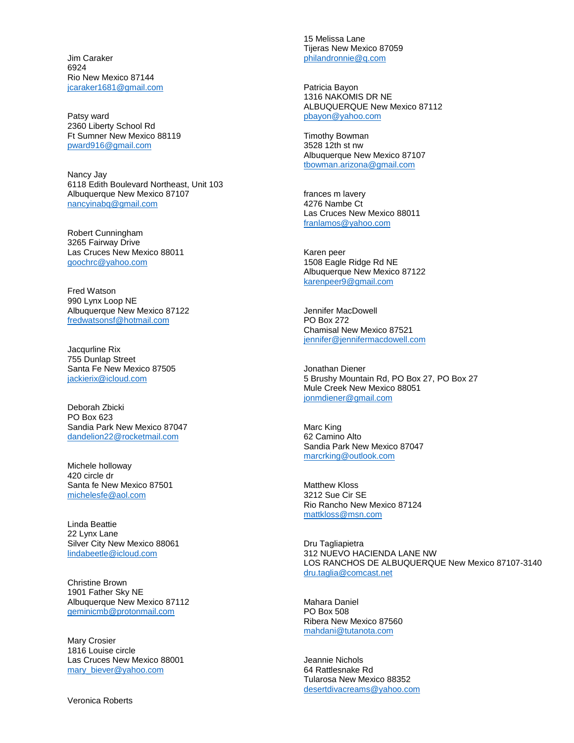Jim Caraker 6924 Rio New Mexico 87144 [jcaraker1681@gmail.com](mailto:jcaraker1681@gmail.com)

Patsy ward 2360 Liberty School Rd Ft Sumner New Mexico 88119 [pward916@gmail.com](mailto:pward916@gmail.com)

Nancy Jay 6118 Edith Boulevard Northeast, Unit 103 Albuquerque New Mexico 87107 [nancyinabq@gmail.com](mailto:nancyinabq@gmail.com)

Robert Cunningham 3265 Fairway Drive Las Cruces New Mexico 88011 [goochrc@yahoo.com](mailto:goochrc@yahoo.com)

Fred Watson 990 Lynx Loop NE Albuquerque New Mexico 87122 [fredwatsonsf@hotmail.com](mailto:fredwatsonsf@hotmail.com)

Jacqurline Rix 755 Dunlap Street Santa Fe New Mexico 87505 [jackierix@icloud.com](mailto:jackierix@icloud.com)

Deborah Zbicki PO Box 623 Sandia Park New Mexico 87047 [dandelion22@rocketmail.com](mailto:dandelion22@rocketmail.com)

Michele holloway 420 circle dr Santa fe New Mexico 87501 [michelesfe@aol.com](mailto:michelesfe@aol.com)

Linda Beattie 22 Lynx Lane Silver City New Mexico 88061 [lindabeetle@icloud.com](mailto:lindabeetle@icloud.com)

Christine Brown 1901 Father Sky NE Albuquerque New Mexico 87112 [geminicmb@protonmail.com](mailto:geminicmb@protonmail.com)

Mary Crosier 1816 Louise circle Las Cruces New Mexico 88001 [mary\\_biever@yahoo.com](mailto:mary_biever@yahoo.com)

Veronica Roberts

15 Melissa Lane Tijeras New Mexico 87059 [philandronnie@q.com](mailto:philandronnie@q.com)

Patricia Bayon 1316 NAKOMIS DR NE ALBUQUERQUE New Mexico 87112 [pbayon@yahoo.com](mailto:pbayon@yahoo.com)

Timothy Bowman 3528 12th st nw Albuquerque New Mexico 87107 [tbowman.arizona@gmail.com](mailto:tbowman.arizona@gmail.com)

frances m lavery 4276 Nambe Ct Las Cruces New Mexico 88011 [franlamos@yahoo.com](mailto:franlamos@yahoo.com)

Karen peer 1508 Eagle Ridge Rd NE Albuquerque New Mexico 87122 [karenpeer9@gmail.com](mailto:karenpeer9@gmail.com)

Jennifer MacDowell PO Box 272 Chamisal New Mexico 87521 [jennifer@jennifermacdowell.com](mailto:jennifer@jennifermacdowell.com)

Jonathan Diener 5 Brushy Mountain Rd, PO Box 27, PO Box 27 Mule Creek New Mexico 88051 [jonmdiener@gmail.com](mailto:jonmdiener@gmail.com)

Marc King 62 Camino Alto Sandia Park New Mexico 87047 [marcrking@outlook.com](mailto:marcrking@outlook.com)

Matthew Kloss 3212 Sue Cir SE Rio Rancho New Mexico 87124 [mattkloss@msn.com](mailto:mattkloss@msn.com)

Dru Tagliapietra 312 NUEVO HACIENDA LANE NW LOS RANCHOS DE ALBUQUERQUE New Mexico 87107-3140 [dru.taglia@comcast.net](mailto:dru.taglia@comcast.net)

Mahara Daniel PO Box 508 Ribera New Mexico 87560 [mahdani@tutanota.com](mailto:mahdani@tutanota.com)

Jeannie Nichols 64 Rattlesnake Rd Tularosa New Mexico 88352 [desertdivacreams@yahoo.com](mailto:desertdivacreams@yahoo.com)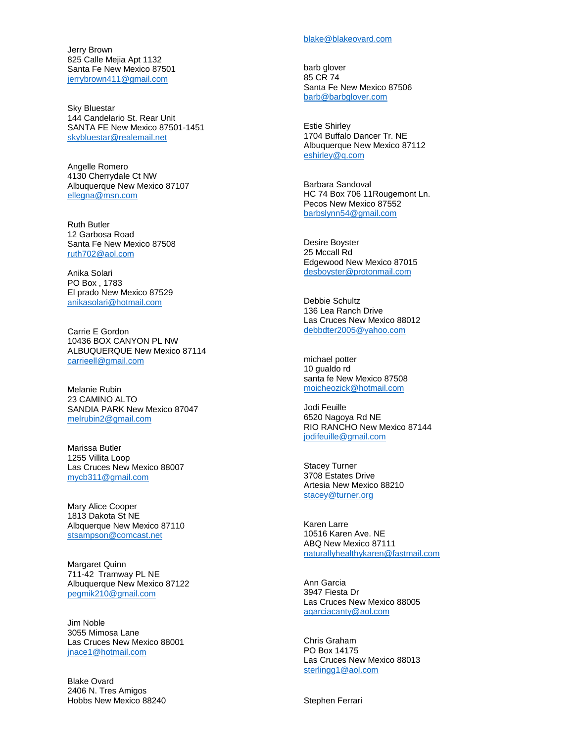Jerry Brown 825 Calle Meiia Apt 1132 Santa Fe New Mexico 87501 [jerrybrown411@gmail.com](mailto:jerrybrown411@gmail.com)

Sky Bluestar 144 Candelario St. Rear Unit SANTA FE New Mexico 87501 -1451 [skybluestar@realemail.net](mailto:skybluestar@realemail.net)

Angelle Romero 4130 Cherrydale Ct NW Albuquerque New Mexico 87107 [ellegna@msn.com](mailto:ellegna@msn.com)

Ruth Butler 12 Garbosa Road Santa Fe New Mexico 87508 [ruth702@aol.com](mailto:ruth702@aol.com)

Anika Solari PO Box , 1783 El prado New Mexico 87529 [anikasolari@hotmail.com](mailto:anikasolari@hotmail.com)

Carrie E Gordon 10436 BOX CANYON PL NW ALBUQUERQUE New Mexico 87114 [carrieell@gmail.com](mailto:carrieell@gmail.com)

Melanie Rubin 23 CAMINO ALTO SANDIA PARK New Mexico 87047 [melrubin2@gmail.com](mailto:melrubin2@gmail.com)

Marissa Butler 1255 Villita Loop Las Cruces New Mexico 88007 [mycb311@gmail.com](mailto:mycb311@gmail.com)

Mary Alice Cooper 1813 Dakota St NE Albquerque New Mexico 87110 [stsampson@comcast.net](mailto:stsampson@comcast.net)

Margaret Quinn 711 -42 Tramway PL NE Albuquerque New Mexico 87122 [pegmik210@gmail.com](mailto:pegmik210@gmail.com)

Jim Noble 3055 Mimosa Lane Las Cruces New Mexico 88001 [jnace1@hotmail.com](mailto:jnace1@hotmail.com)

Blake Ovard 2406 N. Tres Amigos Hobbs New Mexico 88240

#### [blake@blakeovard.com](mailto:blake@blakeovard.com)

barb glover 85 CR 74 Santa Fe New Mexico 87506 [barb@barbglover.com](mailto:barb@barbglover.com)

Estie Shirley 1704 Buffalo Dancer Tr. NE Albuquerque New Mexico 87112 [eshirley@q.com](mailto:eshirley@q.com)

Barbara Sandoval HC 74 Box 706 11Rougemont Ln. Pecos New Mexico 87552 [barbslynn54@gmail.com](mailto:barbslynn54@gmail.com)

Desire Boyster 25 Mccall Rd Edgewood New Mexico 87015 [desboyster@protonmail.com](mailto:desboyster@protonmail.com)

Debbie Schultz 136 Lea Ranch Drive Las Cruces New Mexico 88012 [debbdter2005@yahoo.com](mailto:debbdter2005@yahoo.com)

michael potter 10 gualdo rd santa fe New Mexico 87508 [moicheozick@hotmail.com](mailto:moicheozick@hotmail.com)

Jodi Feuille 6520 Nagoya Rd NE RIO RANCHO New Mexico 87144 [jodifeuille@gmail.com](mailto:jodifeuille@gmail.com)

Stacey Turner 3708 Estates Drive Artesia New Mexico 88210 [stacey@turner.org](mailto:stacey@turner.org)

Karen Larre 10516 Karen Ave. NE ABQ New Mexico 87111 [naturallyhealthykaren@fastmail.com](mailto:naturallyhealthykaren@fastmail.com)

Ann Garcia 3947 Fiesta Dr Las Cruces New Mexico 88005 [agarciacanty@aol.com](mailto:agarciacanty@aol.com)

Chris Graham PO Box 14175 Las Cruces New Mexico 88013 [sterlingg1@aol.com](mailto:sterlingg1@aol.com)

Stephen Ferrari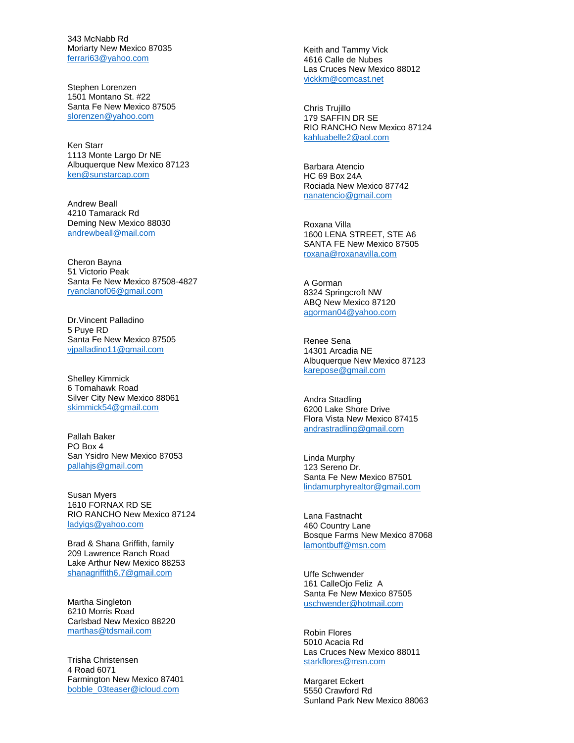343 McNabb Rd Moriarty New Mexico 87035 [ferrari63@yahoo.com](mailto:ferrari63@yahoo.com)

Stephen Lorenzen 1501 Montano St. #22 Santa Fe New Mexico 87505 [slorenzen@yahoo.com](mailto:slorenzen@yahoo.com)

Ken Starr 1113 Monte Largo Dr NE Albuquerque New Mexico 87123 [ken@sunstarcap.com](mailto:ken@sunstarcap.com)

Andrew Beall 4210 Tamarack Rd Deming New Mexico 88030 [andrewbeall@mail.com](mailto:andrewbeall@mail.com)

Cheron Bayna 51 Victorio Peak Santa Fe New Mexico 87508 -4827 [ryanclanof06@gmail.com](mailto:ryanclanof06@gmail.com)

Dr.Vincent Palladino 5 Puye RD Santa Fe New Mexico 87505 [vjpalladino11@gmail.com](mailto:vjpalladino11@gmail.com)

Shelley Kimmick 6 Tomahawk Road Silver City New Mexico 88061 [skimmick54@gmail.com](mailto:skimmick54@gmail.com)

Pallah Baker PO Box 4 San Ysidro New Mexico 87053 [pallahjs@gmail.com](mailto:pallahjs@gmail.com)

Susan Myers 1610 FORNAX RD SE RIO RANCHO New Mexico 87124 [ladyigs@yahoo.com](mailto:ladyigs@yahoo.com)

Brad & Shana Griffith, family 209 Lawrence Ranch Road Lake Arthur New Mexico 88253 [shanagriffith6.7@gmail.com](mailto:shanagriffith6.7@gmail.com)

Martha Singleton 6210 Morris Road Carlsbad New Mexico 88220 [marthas@tdsmail.com](mailto:marthas@tdsmail.com)

Trisha Christensen 4 Road 6071 Farmington New Mexico 87401 [bobble\\_03teaser@icloud.com](mailto:bobble_03teaser@icloud.com)

Keith and Tammy Vick 4616 Calle de Nubes Las Cruces New Mexico 88012 [vickkm@comcast.net](mailto:vickkm@comcast.net)

Chris Trujillo 179 SAFFIN DR SE RIO RANCHO New Mexico 87124 [kahluabelle2@aol.com](mailto:kahluabelle2@aol.com)

Barbara Atencio HC 69 Box 24A Rociada New Mexico 87742 [nanatencio@gmail.com](mailto:nanatencio@gmail.com)

Roxana Villa 1600 LENA STREET, STE A6 SANTA FE New Mexico 87505 [roxana@roxanavilla.com](mailto:roxana@roxanavilla.com)

A Gorman 8324 Springcroft NW ABQ New Mexico 87120 [agorman04@yahoo.com](mailto:agorman04@yahoo.com)

Renee Sena 14301 Arcadia NE Albuquerque New Mexico 87123 [karepose@gmail.com](mailto:karepose@gmail.com)

Andra Sttadling 6200 Lake Shore Drive Flora Vista New Mexico 87415 [andrastradling@gmail.com](mailto:andrastradling@gmail.com)

Linda Murphy 123 Sereno Dr. Santa Fe New Mexico 87501 [lindamurphyrealtor@gmail.com](mailto:lindamurphyrealtor@gmail.com)

Lana Fastnacht 460 Country Lane Bosque Farms New Mexico 87068 [lamontbuff@msn.com](mailto:lamontbuff@msn.com)

Uffe Schwender 161 CalleOjo Feliz A Santa Fe New Mexico 87505 [uschwender@hotmail.com](mailto:uschwender@hotmail.com)

Robin Flores 5010 Acacia Rd Las Cruces New Mexico 88011 [starkflores@msn.com](mailto:starkflores@msn.com)

Margaret Eckert 5550 Crawford Rd Sunland Park New Mexico 88063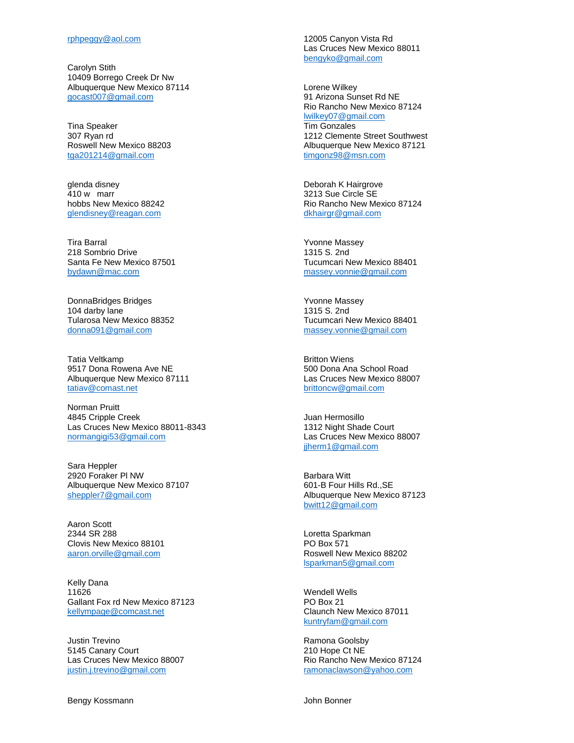Carolyn Stith 10409 Borrego Creek Dr Nw Albuquerque New Mexico 87114 [gocast007@gmail.com](mailto:gocast007@gmail.com)

Tina Speaker 307 Ryan rd Roswell New Mexico 88203 [tga201214@gmail.com](mailto:tga201214@gmail.com)

glenda disney 410 w marr hobbs New Mexico 88242 [glendisney@reagan.com](mailto:glendisney@reagan.com)

Tira Barral 218 Sombrio Drive Santa Fe New Mexico 87501 [bydawn@mac.com](mailto:bydawn@mac.com)

DonnaBridges Bridges 104 darby lane Tularosa New Mexico 88352 [donna091@gmail.com](mailto:donna091@gmail.com)

Tatia Veltkamp 9517 Dona Rowena Ave NE Albuquerque New Mexico 87111 [tatiav@comast.net](mailto:tatiav@comast.net)

Norman Pruitt 4845 Cripple Creek Las Cruces New Mexico 88011-8343 [normangigi53@gmail.com](mailto:normangigi53@gmail.com)

Sara Heppler 2920 Foraker Pl NW Albuquerque New Mexico 87107 [sheppler7@gmail.com](mailto:sheppler7@gmail.com)

Aaron Scott 2344 SR 288 Clovis New Mexico 88101 [aaron.orville@gmail.com](mailto:aaron.orville@gmail.com)

Kelly Dana 11626 Gallant Fox rd New Mexico 87123 [kellympage@comcast.net](mailto:kellympage@comcast.net)

Justin Trevino 5145 Canary Court Las Cruces New Mexico 88007 [justin.j.trevino@gmail.com](mailto:justin.j.trevino@gmail.com)

Bengy Kossmann

12005 Canyon Vista Rd Las Cruces New Mexico 88011 [bengyko@gmail.com](mailto:bengyko@gmail.com)

Lorene Wilkey 91 Arizona Sunset Rd NE Rio Rancho New Mexico 87124 [lwilkey07@gmail.com](mailto:lwilkey07@gmail.com) Tim Gonzales 1212 Clemente Street Southwest Albuquerque New Mexico 87121 [timgonz98@msn.com](mailto:timgonz98@msn.com)

Deborah K Hairgrove 3213 Sue Circle SE Rio Rancho New Mexico 87124 [dkhairgr@gmail.com](mailto:dkhairgr@gmail.com)

Yvonne Massey 1315 S. 2nd Tucumcari New Mexico 88401 [massey.vonnie@gmail.com](mailto:massey.vonnie@gmail.com)

Yvonne Massey 1315 S. 2nd Tucumcari New Mexico 88401 [massey.vonnie@gmail.com](mailto:massey.vonnie@gmail.com)

Britton Wiens 500 Dona Ana School Road Las Cruces New Mexico 88007 [brittoncw@gmail.com](mailto:brittoncw@gmail.com)

Juan Hermosillo 1312 Night Shade Court Las Cruces New Mexico 88007 [jjherm1@gmail.com](mailto:jjherm1@gmail.com)

Barbara Witt 601-B Four Hills Rd.,SE Albuquerque New Mexico 87123 [bwitt12@gmail.com](mailto:bwitt12@gmail.com)

Loretta Sparkman PO Box 571 Roswell New Mexico 88202 [lsparkman5@gmail.com](mailto:lsparkman5@gmail.com)

Wendell Wells PO Box 21 Claunch New Mexico 87011 [kuntryfam@gmail.com](mailto:kuntryfam@gmail.com)

Ramona Goolsby 210 Hope Ct NE Rio Rancho New Mexico 87124 [ramonaclawson@yahoo.com](mailto:ramonaclawson@yahoo.com)

John Bonner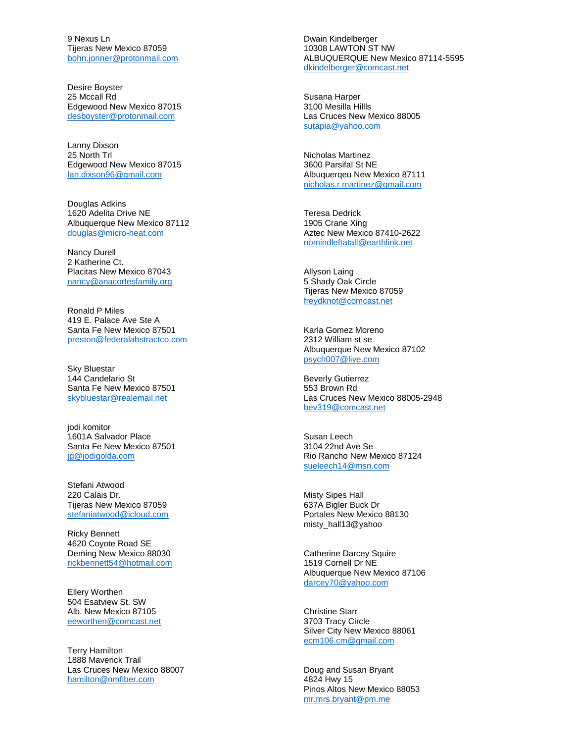9 Nexus Ln Tijeras New Mexico 87059 [bohn.jonner@protonmail.com](mailto:bohn.jonner@protonmail.com)

Desire Boyster 25 Mccall Rd Edgewood New Mexico 87015 [desboyster@protonmail.com](mailto:desboyster@protonmail.com)

Lanny Dixson 25 North Trl Edgewood New Mexico 87015 [lan.dixson96@gmail.com](mailto:lan.dixson96@gmail.com)

Douglas Adkins 1620 Adelita Drive NE Albuquerque New Mexico 87112 [douglas@micro](mailto:douglas@micro-heat.com) -heat.com

Nancy Durell 2 Katherine Ct. Placitas New Mexico 87043 [nancy@anacortesfamily.org](mailto:nancy@anacortesfamily.org)

Ronald P Miles 419 E. Palace Ave Ste A Santa Fe New Mexico 87501 [preston@federalabstractco.com](mailto:preston@federalabstractco.com)

Sky Bluestar 144 Candelario St Santa Fe New Mexico 87501 [skybluestar@realemail.net](mailto:skybluestar@realemail.net)

jodi komitor 1601A Salvador Place Santa Fe New Mexico 87501 [jg@jodigolda.com](mailto:jg@jodigolda.com)

Stefani Atwood 220 Calais Dr. Tijeras New Mexico 87059 [stefaniatwood@icloud.com](mailto:stefaniatwood@icloud.com)

Ricky Bennett 4620 Coyote Road SE Deming New Mexico 88030 [rickbennett54@hotmail.com](mailto:rickbennett54@hotmail.com)

Ellery Worthen 504 Esatview St. SW Alb. New Mexico 87105 [eeworthen@comcast.net](mailto:eeworthen@comcast.net)

Terry Hamilton 1888 Maverick Trail Las Cruces New Mexico 88007 [hamilton@nmfiber.com](mailto:hamilton@nmfiber.com)

Dwain Kindelberger 10308 LAWTON ST NW ALBUQUERQUE New Mexico 87114 -5595 [dkindelberger@comcast.net](mailto:dkindelberger@comcast.net)

Susana Harper 3100 Mesilla Hillls Las Cruces New Mexico 88005 [sutapia@yahoo.com](mailto:sutapia@yahoo.com)

Nicholas Martinez 3600 Parsifal St NE Albuquerqeu New Mexico 87111 [nicholas.r.martinez@gmail.com](mailto:nicholas.r.martinez@gmail.com)

Teresa Dedrick 1905 Crane Xing Aztec New Mexico 87410 -2622 [nomindleftatall@earthlink.net](mailto:nomindleftatall@earthlink.net)

Allyson Laing 5 Shady Oak Circle Tijeras New Mexico 87059 [freydknot@comcast.net](mailto:freydknot@comcast.net)

Karla Gomez Moreno 2312 William st se Albuquerque New Mexico 87102 [psych007@live.com](mailto:psych007@live.com)

Beverly Gutierrez 553 Brown Rd Las Cruces New Mexico 88005 -2948 [bev319@comcast.net](mailto:bev319@comcast.net)

Susan Leech 3104 22nd Ave Se Rio Rancho New Mexico 87124 [sueleech14@msn.com](mailto:sueleech14@msn.com)

Misty Sipes Hall 637A Bigler Buck Dr Portales New Mexico 88130 misty\_hall13@yahoo

Catherine Darcey Squire 1519 Cornell Dr NE Albuquerque New Mexico 87106 [darcey70@yahoo.com](mailto:darcey70@yahoo.com)

Christine Starr 3703 Tracy Circle Silver City New Mexico 88061 [ecm106.cm@gmail.com](mailto:ecm106.cm@gmail.com)

Doug and Susan Bryant 4824 Hwy 15 Pinos Altos New Mexico 88053 [mr.mrs.bryant@pm.me](mailto:mr.mrs.bryant@pm.me)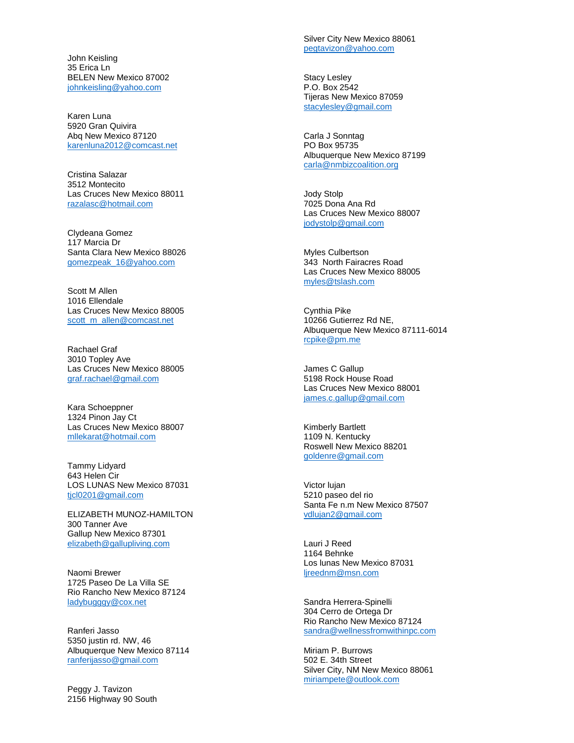John Keisling 35 Erica Ln BELEN New Mexico 87002 [johnkeisling@yahoo.com](mailto:johnkeisling@yahoo.com)

Karen Luna 5920 Gran Quivira Abq New Mexico 87120 [karenluna2012@comcast.net](mailto:karenluna2012@comcast.net)

Cristina Salazar 3512 Montecito Las Cruces New Mexico 88011 [razalasc@hotmail.com](mailto:razalasc@hotmail.com)

Clydeana Gomez 117 Marcia Dr Santa Clara New Mexico 88026 [gomezpeak\\_16@yahoo.com](mailto:gomezpeak_16@yahoo.com)

Scott M Allen 1016 Ellendale Las Cruces New Mexico 88005 [scott\\_m\\_allen@comcast.net](mailto:scott_m_allen@comcast.net)

Rachael Graf 3010 Topley Ave Las Cruces New Mexico 88005 [graf.rachael@gmail.com](mailto:graf.rachael@gmail.com)

Kara Schoeppner 1324 Pinon Jay Ct Las Cruces New Mexico 88007 [mllekarat@hotmail.com](mailto:mllekarat@hotmail.com)

Tammy Lidyard 643 Helen Cir LOS LUNAS New Mexico 87031 [tjcl0201@gmail.com](mailto:tjcl0201@gmail.com)

ELIZABETH MUNOZ -HAMILTON 300 Tanner Ave Gallup New Mexico 87301 [elizabeth@gallupliving.com](mailto:elizabeth@gallupliving.com)

Naomi Brewer 1725 Paseo De La Villa SE Rio Rancho New Mexico 87124 [ladybugggy@cox.net](mailto:ladybugggy@cox.net)

Ranferi Jasso 5350 justin rd. NW, 46 Albuquerque New Mexico 87114 [ranferijasso@gmail.com](mailto:ranferijasso@gmail.com)

Peggy J. Tavizon 2156 Highway 90 South Silver City New Mexico 88061 [pegtavizon@yahoo.com](mailto:pegtavizon@yahoo.com)

Stacy Lesley P.O. Box 2542 Tijeras New Mexico 87059 [stacylesley@gmail.com](mailto:stacylesley@gmail.com)

Carla J Sonntag PO Box 95735 Albuquerque New Mexico 87199 [carla@nmbizcoalition.org](mailto:carla@nmbizcoalition.org)

Jody Stolp 7025 Dona Ana Rd Las Cruces New Mexico 88007 [jodystolp@gmail.com](mailto:jodystolp@gmail.com)

Myles Culbertson 343 North Fairacres Road Las Cruces New Mexico 88005 [myles@tslash.com](mailto:myles@tslash.com)

Cynthia Pike 10266 Gutierrez Rd NE, Albuquerque New Mexico 87111 -6014 [rcpike@pm.me](mailto:rcpike@pm.me)

James C Gallup 5198 Rock House Road Las Cruces New Mexico 88001 [james.c.gallup@gmail.com](mailto:james.c.gallup@gmail.com)

Kimberly Bartlett 1109 N. Kentucky Roswell New Mexico 88201 [goldenre@gmail.com](mailto:goldenre@gmail.com)

Victor lujan 5210 paseo del rio Santa Fe n.m New Mexico 87507 [vdlujan2@gmail.com](mailto:vdlujan2@gmail.com)

Lauri J Reed 1164 Behnke Los lunas New Mexico 87031 [ljreednm@msn.com](mailto:ljreednm@msn.com)

Sandra Herrera -Spinelli 304 Cerro de Ortega Dr Rio Rancho New Mexico 87124 [sandra@wellnessfromwithinpc.com](mailto:sandra@wellnessfromwithinpc.com)

Miriam P. Burrows 502 E. 34th Street Silver City, NM New Mexico 88061 [miriampete@outlook.com](mailto:miriampete@outlook.com)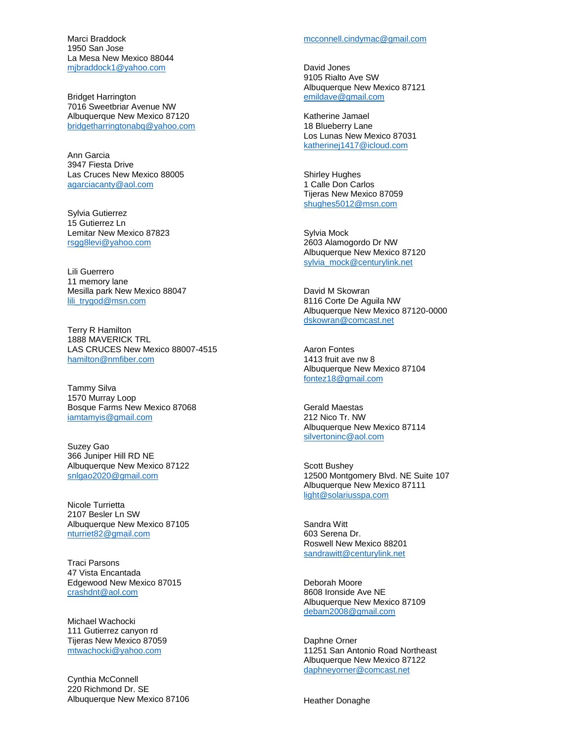Marci Braddock 1950 San Jose La Mesa New Mexico 88044 [mjbraddock1@yahoo.com](mailto:mjbraddock1@yahoo.com)

Bridget Harrington 7016 Sweetbriar Avenue NW Albuquerque New Mexico 87120 [bridgetharringtonabq@yahoo.com](mailto:bridgetharringtonabq@yahoo.com)

Ann Garcia 3947 Fiesta Drive Las Cruces New Mexico 88005 [agarciacanty@aol.com](mailto:agarciacanty@aol.com)

Sylvia Gutierrez 15 Gutierrez Ln Lemitar New Mexico 87823 [rsgg8levi@yahoo.com](mailto:rsgg8levi@yahoo.com)

Lili Guerrero 11 memory lane Mesilla park New Mexico 88047 [lili\\_trygod@msn.com](mailto:lili_trygod@msn.com)

Terry R Hamilton 1888 MAVERICK TRL LAS CRUCES New Mexico 88007 -4515 [hamilton@nmfiber.com](mailto:hamilton@nmfiber.com)

Tammy Silva 1570 Murray Loop Bosque Farms New Mexico 87068 [iamtamyis@gmail.com](mailto:iamtamyis@gmail.com)

Suzey Gao 366 Juniper Hill RD NE Albuquerque New Mexico 87122 [snlgao2020@gmail.com](mailto:snlgao2020@gmail.com)

Nicole Turrietta 2107 Besler Ln SW Albuquerque New Mexico 87105 [nturriet82@gmail.com](mailto:nturriet82@gmail.com)

Traci Parsons 47 Vista Encantada Edgewood New Mexico 87015 [crashdnt@aol.com](mailto:crashdnt@aol.com)

Michael Wachocki 111 Gutierrez canyon rd Tijeras New Mexico 87059 [mtwachocki@yahoo.com](mailto:mtwachocki@yahoo.com)

Cynthia McConnell 220 Richmond Dr. SE Albuquerque New Mexico 87106 [mcconnell.cindymac@gmail.com](mailto:mcconnell.cindymac@gmail.com)

David Jones 9105 Rialto Ave SW Albuquerque New Mexico 87121 [emildave@gmail.com](mailto:emildave@gmail.com)

Katherine Jamael 18 Blueberry Lane Los Lunas New Mexico 87031 [katherinej1417@icloud.com](mailto:katherinej1417@icloud.com)

Shirley Hughes 1 Calle Don Carlos Tijeras New Mexico 87059 [shughes5012@msn.com](mailto:shughes5012@msn.com)

Sylvia Mock 2603 Alamogordo Dr NW Albuquerque New Mexico 87120 [sylvia\\_mock@centurylink.net](mailto:sylvia_mock@centurylink.net)

David M Skowran 8116 Corte De Aguila NW Albuquerque New Mexico 87120 -0000 [dskowran@comcast.net](mailto:dskowran@comcast.net)

Aaron Fontes 1413 fruit ave nw 8 Albuquerque New Mexico 87104 [fontez18@gmail.com](mailto:fontez18@gmail.com)

Gerald Maestas 212 Nico Tr. NW Albuquerque New Mexico 87114 [silvertoninc@aol.com](mailto:silvertoninc@aol.com)

Scott Bushey 12500 Montgomery Blvd. NE Suite 107 Albuquerque New Mexico 87111 [light@solariusspa.com](mailto:light@solariusspa.com)

Sandra Witt 603 Serena Dr. Roswell New Mexico 88201 [sandrawitt@centurylink.net](mailto:sandrawitt@centurylink.net)

Deborah Moore 8608 Ironside Ave NE Albuquerque New Mexico 87109 [debam2008@gmail.com](mailto:debam2008@gmail.com)

Daphne Orner 11251 San Antonio Road Northeast Albuquerque New Mexico 87122 [daphneyorner@comcast.net](mailto:daphneyorner@comcast.net)

Heather Donaghe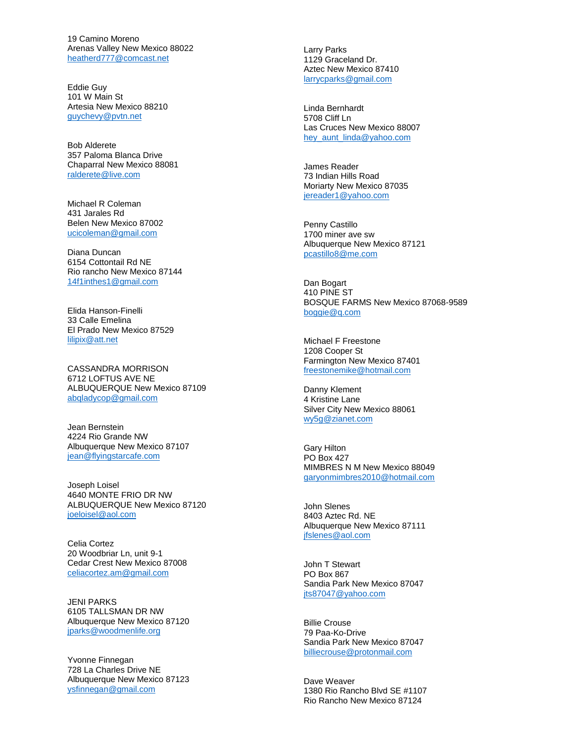19 Camino Moreno Arenas Valley New Mexico 88022 [heatherd777@comcast.net](mailto:heatherd777@comcast.net)

Eddie Guy 101 W Main St Artesia New Mexico 88210 [guychevy@pvtn.net](mailto:guychevy@pvtn.net)

Bob Alderete 357 Paloma Blanca Drive Chaparral New Mexico 88081 [ralderete@live.com](mailto:ralderete@live.com)

Michael R Coleman 431 Jarales Rd Belen New Mexico 87002 [ucicoleman@gmail.com](mailto:ucicoleman@gmail.com)

Diana Duncan 6154 Cottontail Rd NE Rio rancho New Mexico 87144 [14f1inthes1@gmail.com](mailto:14f1inthes1@gmail.com)

Elida Hanson -Finelli 33 Calle Emelina El Prado New Mexico 87529 [lilipix@att.net](mailto:lilipix@att.net)

CASSANDRA MORRISON 6712 LOFTUS AVE NE ALBUQUERQUE New Mexico 87109 [abqladycop@gmail.com](mailto:abqladycop@gmail.com)

Jean Bernstein 4224 Rio Grande NW Albuquerque New Mexico 87107 [jean@flyingstarcafe.com](mailto:jean@flyingstarcafe.com)

Joseph Loisel 4640 MONTE FRIO DR NW ALBUQUERQUE New Mexico 87120 [joeloisel@aol.com](mailto:joeloisel@aol.com)

Celia Cortez 20 Woodbriar Ln, unit 9 - 1 Cedar Crest New Mexico 87008 [celiacortez.am@gmail.com](mailto:celiacortez.am@gmail.com)

JENI PARKS 6105 TALLSMAN DR NW Albuquerque New Mexico 87120 [jparks@woodmenlife.org](mailto:jparks@woodmenlife.org)

Yvonne Finnegan 728 La Charles Drive NE Albuquerque New Mexico 87123 [ysfinnegan@gmail.com](mailto:ysfinnegan@gmail.com)

Larry Parks 1129 Graceland Dr. Aztec New Mexico 87410 [larrycparks@gmail.com](mailto:larrycparks@gmail.com)

Linda Bernhardt 5708 Cliff Ln Las Cruces New Mexico 88007 [hey\\_aunt\\_linda@yahoo.com](mailto:hey_aunt_linda@yahoo.com)

James Reader 73 Indian Hills Road Moriarty New Mexico 87035 [jereader1@yahoo.com](mailto:jereader1@yahoo.com)

Penny Castillo 1700 miner ave sw Albuquerque New Mexico 87121 [pcastillo8@me.com](mailto:pcastillo8@me.com)

Dan Bogart 410 PINE ST BOSQUE FARMS New Mexico 87068 -9589 [boggie@q.com](mailto:boggie@q.com)

Michael F Freestone 1208 Cooper St Farmington New Mexico 87401 [freestonemike@hotmail.com](mailto:freestonemike@hotmail.com)

Danny Klement 4 Kristine Lan e Silver City New Mexico 88061 [wy5g@zianet.com](mailto:wy5g@zianet.com)

Gary Hilton PO Box 427 MIMBRES N M New Mexico 88049 [garyonmimbres2010@hotmail.com](mailto:garyonmimbres2010@hotmail.com)

John Slenes 8403 Aztec Rd. NE Albuquerque New Mexico 87111 [jfslenes@aol.com](mailto:jfslenes@aol.com)

John T Stewart PO Box 867 Sandia Park New Mexico 87047 [jts87047@yahoo.com](mailto:jts87047@yahoo.com)

Billie Crouse 79 Paa -Ko -Drive Sandia Park New Mexico 87047 [billiecrouse@protonmail.com](mailto:billiecrouse@protonmail.com)

Dave Weaver 1380 Rio Rancho Blvd SE #1107 Rio Rancho New Mexico 87124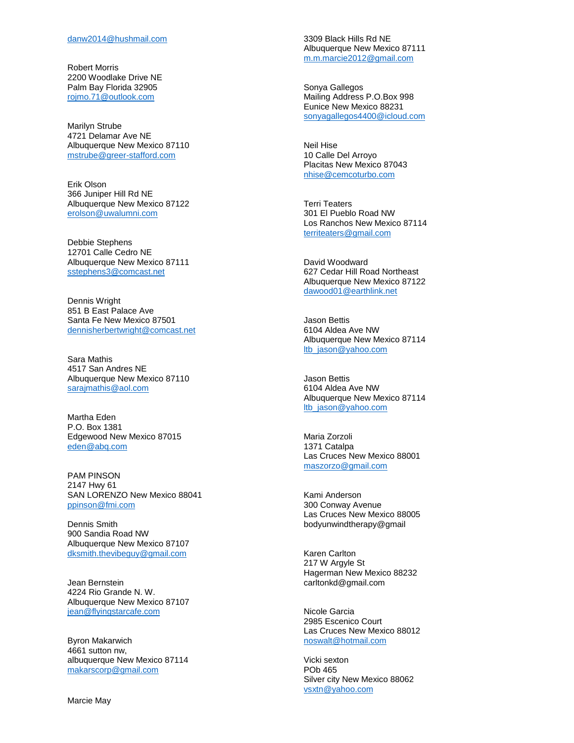Robert Morris 2200 Woodlake Drive NE Palm Bay Florida 32905 [rojmo.71@outlook.com](mailto:rojmo.71@outlook.com)

Marilyn Strube 4721 Delamar Ave NE Albuquerque New Mexico 87110 [mstrube@greer](mailto:mstrube@greer-stafford.com) -stafford.com

Erik Olson 366 Juniper Hill Rd NE Albuquerque New Mexico 87122 [erolson@uwalumni.com](mailto:erolson@uwalumni.com)

Debbie Stephens 12701 Calle Cedro NE Albuquerque New Mexico 87111 [sstephens3@comcast.net](mailto:sstephens3@comcast.net)

Dennis Wright 851 B East Palace Ave Santa Fe New Mexico 87501 [dennisherbertwright@comcast.net](mailto:dennisherbertwright@comcast.net)

Sara Mathis 4517 San Andres NE Albuquerque New Mexico 87110 [sarajmathis@aol.com](mailto:sarajmathis@aol.com)

Martha Eden P.O. Box 1381 Edgewood New Mexico 87015 [eden@abq.com](mailto:eden@abq.com)

PAM PINSON 2147 Hwy 61 SAN LORENZO New Mexico 88041 [ppinson@fmi.com](mailto:ppinson@fmi.com)

Dennis Smith 900 Sandia Road NW Albuquerque New Mexico 87107 [dksmith.thevibeguy@gmail.com](mailto:dksmith.thevibeguy@gmail.com)

Jean Bernstein 4224 Rio Grande N. W. Albuquerque New Mexico 87107 [jean@flyingstarcafe.com](mailto:jean@flyingstarcafe.com)

Byron Makarwich 4661 sutton nw, albuquerque New Mexico 87114 [makarscorp@gmail.com](mailto:makarscorp@gmail.com)

Marcie May

3309 Black Hills Rd NE Albuquerque New Mexico 87111 [m.m.marcie2012@gmail.com](mailto:m.m.marcie2012@gmail.com)

Sonya Gallegos Mailing Address P.O.Box 998 Eunice New Mexico 88231 [sonyagallegos4400@icloud.com](mailto:sonyagallegos4400@icloud.com)

Neil Hise 10 Calle Del Arroyo Placitas New Mexico 87043 [nhise@cemcoturbo.com](mailto:nhise@cemcoturbo.com)

Terri Teaters 301 El Pueblo Road NW Los Ranchos New Mexico 87114 [territeaters@gmail.com](mailto:territeaters@gmail.com)

David Woodward 627 Cedar Hill Road Northeast Albuquerque New Mexico 87122 [dawood01@earthlink.net](mailto:dawood01@earthlink.net)

Jason Bettis 6104 Aldea Ave NW Albuquerque New Mexico 87114 [ltb\\_jason@yahoo.com](mailto:ltb_jason@yahoo.com)

Jason Bettis 6104 Aldea Ave NW Albuquerque New Mexico 87114 [ltb\\_jason@yahoo.com](mailto:ltb_jason@yahoo.com)

Maria Zorzoli 1371 Catalpa Las Cruces New Mexico 88001 [maszorzo@gmail.com](mailto:maszorzo@gmail.com)

Kami Anderson 300 Conway Avenue Las Cruces New Mexico 88005 bodyunwindtherapy@gmail

Karen Carlton 217 W Argyle St Hagerman New Mexico 88232 carltonkd@gmail.com

Nicole Garcia 2985 Escenico Court Las Cruces New Mexico 88012 [noswalt@hotmail.com](mailto:noswalt@hotmail.com)

Vicki sexton POb 465 Silver city New Mexico 88062 [vsxtn@yahoo.com](mailto:vsxtn@yahoo.com)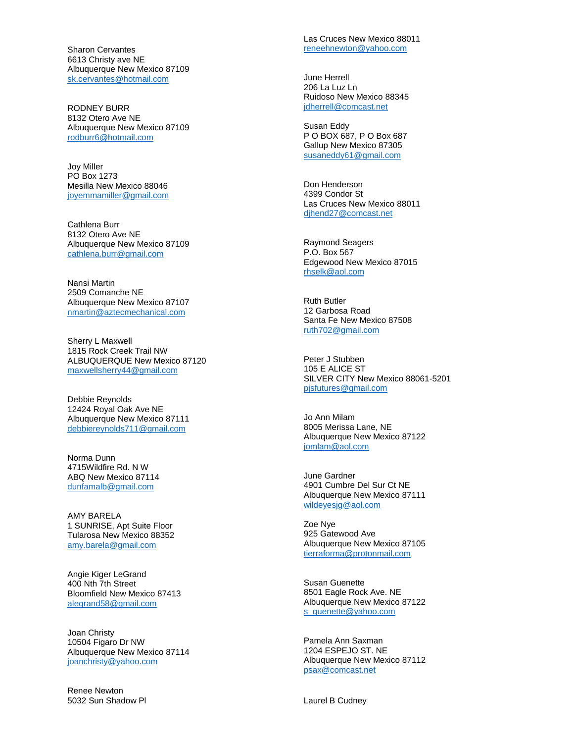Sharon Cervantes 6613 Christy ave NE Albuquerque New Mexico 87109 [sk.cervantes@hotmail.com](mailto:sk.cervantes@hotmail.com)

RODNEY BURR 8132 Otero Ave NE Albuquerque New Mexico 87109 [rodburr6@hotmail.com](mailto:rodburr6@hotmail.com)

Joy Miller PO Box 1273 Mesilla New Mexico 88046 [joyemmamiller@gmail.com](mailto:joyemmamiller@gmail.com)

Cathlena Burr 8132 Otero Ave NE Albuquerque New Mexico 87109 [cathlena.burr@gmail.com](mailto:cathlena.burr@gmail.com)

Nansi Martin 2509 Comanche NE Albuquerque New Mexico 87107 [nmartin@aztecmechanical.com](mailto:nmartin@aztecmechanical.com)

Sherry L Maxwell 1815 Rock Creek Trail NW ALBUQUERQUE New Mexico 87120 [maxwellsherry44@gmail.com](mailto:maxwellsherry44@gmail.com)

Debbie Reynolds 12424 Royal Oak Ave NE Albuquerque New Mexico 87111 [debbiereynolds711@gmail.com](mailto:debbiereynolds711@gmail.com)

Norma Dunn 4715Wildfire Rd. N W ABQ New Mexico 87114 [dunfamalb@gmail.com](mailto:dunfamalb@gmail.com)

AMY BARELA 1 SUNRISE, Apt Suite Floor Tularosa New Mexico 88352 [amy.barela@gmail.com](mailto:amy.barela@gmail.com)

Angie Kiger LeGrand 400 Nth 7th Street Bloomfield New Mexico 87413 [alegrand58@gmail.com](mailto:alegrand58@gmail.com)

Joan Christy 10504 Figaro Dr NW Albuquerque New Mexico 87114 [joanchristy@yahoo.com](mailto:joanchristy@yahoo.com)

Renee Newton 5032 Sun Shadow Pl Las Cruces New Mexico 88011 [reneehnewton@yahoo.com](mailto:reneehnewton@yahoo.com)

June Herrell 206 La Luz Ln Ruidoso New Mexico 88345 [jdherrell@comcast.net](mailto:jdherrell@comcast.net)

Susan Eddy P O BOX 687, P O Box 687 Gallup New Mexico 87305 [susaneddy61@gmail.com](mailto:susaneddy61@gmail.com)

Don Henderson 4399 Condor St Las Cruces New Mexico 88011 [djhend27@comcast.net](mailto:djhend27@comcast.net)

Raymond Seagers P.O. Box 567 Edgewood New Mexico 87015 [rhselk@aol.com](mailto:rhselk@aol.com)

Ruth Butler 12 Garbosa Road Santa Fe New Mexico 87508 [ruth702@gmail.com](mailto:ruth702@gmail.com)

Peter J Stubben 105 E ALICE ST SILVER CITY New Mexico 88061 -5201 [pjsfutures@gmail.com](mailto:pjsfutures@gmail.com)

Jo Ann Milam 8005 Merissa Lane, NE Albuquerque New Mexico 87122 [jomlam@aol.com](mailto:jomlam@aol.com)

June Gardner 4901 Cumbre Del Sur Ct NE Albuquerque New Mexico 87111 [wildeyesjg@aol.com](mailto:wildeyesjg@aol.com)

Zoe Nye 925 Gatewood Ave Albuquerque New Mexico 87105 [tierraforma@protonmail.com](mailto:tierraforma@protonmail.com)

Susan Guenette 8501 Eagle Rock Ave. NE Albuquerque New Mexico 87122 s\_quenette@yahoo.com

Pamela Ann Saxman 1204 ESPEJO ST. NE Albuquerque New Mexico 87112 [psax@comcast.net](mailto:psax@comcast.net)

Laurel B Cudney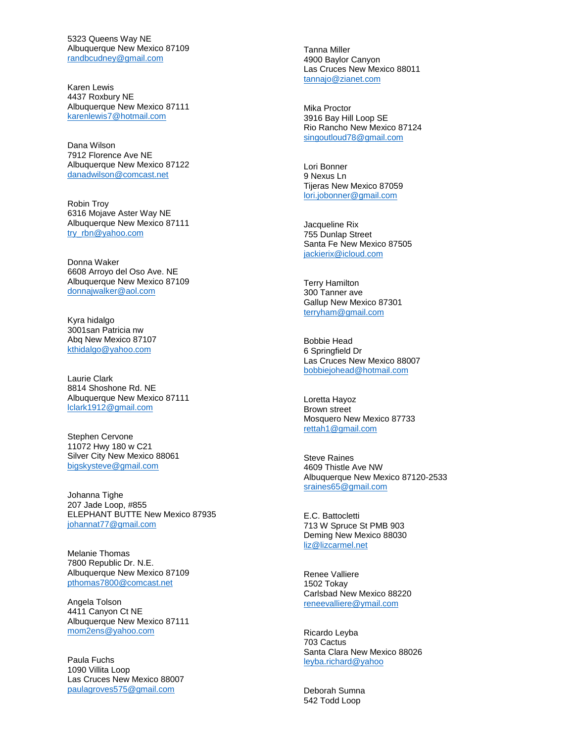5323 Queens Way NE Albuquerque New Mexico 87109 [randbcudney@gmail.com](mailto:randbcudney@gmail.com)

Karen Lewis 4437 Roxbury NE Albuquerque New Mexico 87111 [karenlewis7@hotmail.com](mailto:karenlewis7@hotmail.com)

Dana Wilson 7912 Florence Ave NE Albuquerque New Mexico 87122 [danadwilson@comcast.net](mailto:danadwilson@comcast.net)

Robin Troy 6316 Mojave Aster Way NE Albuquerque New Mexico 87111 [try\\_rbn@yahoo.com](mailto:try_rbn@yahoo.com)

Donna Waker 6608 Arroyo del Oso Ave. NE Albuquerque New Mexico 87109 [donnajwalker@aol.com](mailto:donnajwalker@aol.com)

Kyra hidalgo 3001san Patricia nw Abq New Mexico 87107 [kthidalgo@yahoo.com](mailto:kthidalgo@yahoo.com)

Laurie Clark 8814 Shoshone Rd. NE Albuquerque New Mexico 87111 [lclark1912@gmail.com](mailto:lclark1912@gmail.com)

Stephen Cervone 11072 Hwy 180 w C21 Silver City New Mexico 88061 [bigskysteve@gmail.com](mailto:bigskysteve@gmail.com)

Johanna Tighe 207 Jade Loop, #855 ELEPHANT BUTTE New Mexico 87935 [johannat77@gmail.com](mailto:johannat77@gmail.com)

Melanie Thomas 7800 Republic Dr. N.E. Albuquerque New Mexico 87109 [pthomas7800@comcast.net](mailto:pthomas7800@comcast.net)

Angela Tolson 4411 Canyon Ct NE Albuquerque New Mexico 87111 [mom2ens@yahoo.com](mailto:mom2ens@yahoo.com)

Paula Fuchs 1090 Villita Loop Las Cruces New Mexico 88007 [paulagroves575@gmail.com](mailto:paulagroves575@gmail.com)

Tanna Miller 4900 Baylor Canyon Las Cruces New Mexico 88011 [tannajo@zianet.com](mailto:tannajo@zianet.com)

Mika Proctor 3916 Bay Hill Loop SE Rio Rancho New Mexico 87124 [singoutloud78@gmail.com](mailto:singoutloud78@gmail.com)

Lori Bonner 9 Nexus Ln Tijeras New Mexico 87059 [lori.jobonner@gmail.com](mailto:lori.jobonner@gmail.com)

Jacqueline Rix 755 Dunlap Street Santa Fe New Mexico 87505 [jackierix@icloud.com](mailto:jackierix@icloud.com)

Terry Hamilton 300 Tanner ave Gallup New Mexico 87301 [terryham@gmail.com](mailto:terryham@gmail.com)

Bobbie Head 6 Springfield Dr Las Cruces New Mexico 88007 [bobbiejohead@hotmail.com](mailto:bobbiejohead@hotmail.com)

Loretta Hayoz Brown street Mosquero New Mexico 87733 [rettah1@gmail.com](mailto:rettah1@gmail.com)

Steve Raines 4609 Thistle Ave NW Albuquerque New Mexico 87120 -2533 [sraines65@gmail.com](mailto:sraines65@gmail.com)

E.C. Battocletti 713 W Spruce St PMB 903 Deming New Mexico 88030 [liz@lizcarmel.net](mailto:liz@lizcarmel.net)

Renee Valliere 1502 Tokay Carlsbad New Mexico 88220 [reneevalliere@ymail.com](mailto:reneevalliere@ymail.com)

Ricardo Leyba 703 Cactus Santa Clara New Mexico 88026 [leyba.richard@yahoo](mailto:leyba.richard@yahoo)

Deborah Sumna 542 Todd Loop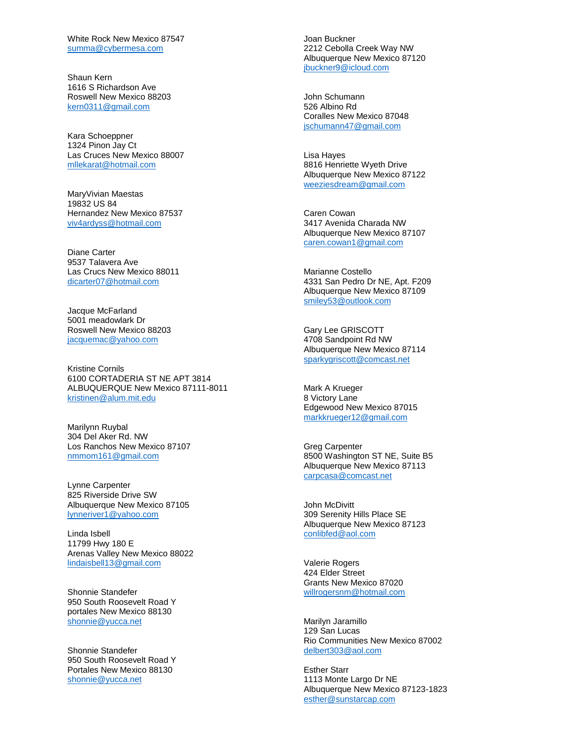White Rock New Mexico 87547 [summa@cybermesa.com](mailto:summa@cybermesa.com)

Shaun Kern 1616 S Richardson Ave Roswell New Mexico 88203 [kern0311@gmail.com](mailto:kern0311@gmail.com)

Kara Schoeppner 1324 Pinon Jay Ct Las Cruces New Mexico 88007 [mllekarat@hotmail.com](mailto:mllekarat@hotmail.com)

MaryVivian Maestas 19832 US 84 Hernandez New Mexico 87537 [viv4ardyss@hotmail.com](mailto:viv4ardyss@hotmail.com)

Diane Carter 9537 Talavera Ave Las Crucs New Mexico 88011 [dicarter07@hotmail.com](mailto:dicarter07@hotmail.com)

Jacque McFarland 5001 meadowlark Dr Roswell New Mexico 88203 [jacquemac@yahoo.com](mailto:jacquemac@yahoo.com)

Kristine Cornils 6100 CORTADERIA ST NE APT 3814 ALBUQUERQUE New Mexico 87111-8011 [kristinen@alum.mit.edu](mailto:kristinen@alum.mit.edu)

Marilynn Ruybal 304 Del Aker Rd. NW Los Ranchos New Mexico 87107 [nmmom161@gmail.com](mailto:nmmom161@gmail.com)

Lynne Carpenter 825 Riverside Drive SW Albuquerque New Mexico 87105 [lynneriver1@yahoo.com](mailto:lynneriver1@yahoo.com)

Linda Isbell 11799 Hwy 180 E Arenas Valley New Mexico 88022 [lindaisbell13@gmail.com](mailto:lindaisbell13@gmail.com)

Shonnie Standefer 950 South Roosevelt Road Y portales New Mexico 88130 [shonnie@yucca.net](mailto:shonnie@yucca.net)

Shonnie Standefer 950 South Roosevelt Road Y Portales New Mexico 88130 [shonnie@yucca.net](mailto:shonnie@yucca.net)

Joan Buckner 2212 Cebolla Creek Way NW Albuquerque New Mexico 87120 [jbuckner9@icloud.com](mailto:jbuckner9@icloud.com)

John Schumann 526 Albino Rd Coralles New Mexico 87048 [jschumann47@gmail.com](mailto:jschumann47@gmail.com)

Lisa Hayes 8816 Henriette Wyeth Drive Albuquerque New Mexico 87122 [weeziesdream@gmail.com](mailto:weeziesdream@gmail.com)

Caren Cowan 3417 Avenida Charada NW Albuquerque New Mexico 87107 [caren.cowan1@gmail.com](mailto:caren.cowan1@gmail.com)

Marianne Costello 4331 San Pedro Dr NE, Apt. F209 Albuquerque New Mexico 87109 [smiley53@outlook.com](mailto:smiley53@outlook.com)

Gary Lee GRISCOTT 4708 Sandpoint Rd NW Albuquerque New Mexico 87114 [sparkygriscott@comcast.net](mailto:sparkygriscott@comcast.net)

Mark A Krueger 8 Victory Lane Edgewood New Mexico 87015 [markkrueger12@gmail.com](mailto:markkrueger12@gmail.com)

Greg Carpenter 8500 Washington ST NE, Suite B5 Albuquerque New Mexico 87113 [carpcasa@comcast.net](mailto:carpcasa@comcast.net)

John McDivitt 309 Serenity Hills Place SE Albuquerque New Mexico 87123 [conlibfed@aol.com](mailto:conlibfed@aol.com)

Valerie Rogers 424 Elder Street Grants New Mexico 87020 [willrogersnm@hotmail.com](mailto:willrogersnm@hotmail.com)

Marilyn Jaramillo 129 San Lucas Rio Communities New Mexico 87002 [delbert303@aol.com](mailto:delbert303@aol.com)

Esther Starr 1113 Monte Largo Dr NE Albuquerque New Mexico 87123-1823 [esther@sunstarcap.com](mailto:esther@sunstarcap.com)